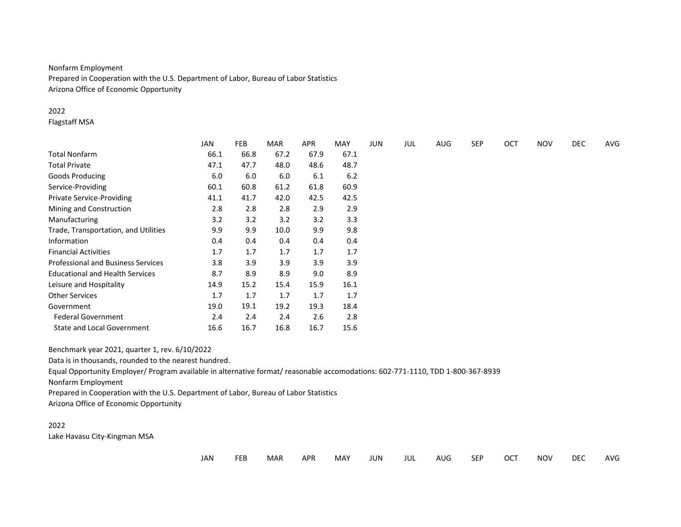# Nonfarm Employment

Prepared in Cooperation with the U.S. Department of Labor, Bureau of Labor Statistics Arizona Office of Economic Opportunity

# 2022

Flagstaff MSA

|                                                                                                                                 | <b>JAN</b> | <b>FEB</b> | <b>MAR</b> | <b>APR</b> | <b>MAY</b> | <b>JUN</b> | JUL | <b>AUG</b> | <b>SEP</b> | <b>OCT</b> | <b>NOV</b> | <b>DEC</b> | AVG |
|---------------------------------------------------------------------------------------------------------------------------------|------------|------------|------------|------------|------------|------------|-----|------------|------------|------------|------------|------------|-----|
| Total Nonfarm                                                                                                                   | 66.1       | 66.8       | 67.2       | 67.9       | 67.1       |            |     |            |            |            |            |            |     |
| <b>Total Private</b>                                                                                                            | 47.1       | 47.7       | 48.0       | 48.6       | 48.7       |            |     |            |            |            |            |            |     |
| <b>Goods Producing</b>                                                                                                          | 6.0        | 6.0        | 6.0        | 6.1        | 6.2        |            |     |            |            |            |            |            |     |
| Service-Providing                                                                                                               | 60.1       | 60.8       | 61.2       | 61.8       | 60.9       |            |     |            |            |            |            |            |     |
| <b>Private Service-Providing</b>                                                                                                | 41.1       | 41.7       | 42.0       | 42.5       | 42.5       |            |     |            |            |            |            |            |     |
| Mining and Construction                                                                                                         | 2.8        | 2.8        | 2.8        | 2.9        | 2.9        |            |     |            |            |            |            |            |     |
| Manufacturing                                                                                                                   | 3.2        | 3.2        | 3.2        | 3.2        | 3.3        |            |     |            |            |            |            |            |     |
| Trade, Transportation, and Utilities                                                                                            | 9.9        | 9.9        | 10.0       | 9.9        | 9.8        |            |     |            |            |            |            |            |     |
| Information                                                                                                                     | 0.4        | 0.4        | 0.4        | 0.4        | 0.4        |            |     |            |            |            |            |            |     |
| <b>Financial Activities</b>                                                                                                     | 1.7        | 1.7        | 1.7        | 1.7        | 1.7        |            |     |            |            |            |            |            |     |
| <b>Professional and Business Services</b>                                                                                       | 3.8        | 3.9        | 3.9        | 3.9        | 3.9        |            |     |            |            |            |            |            |     |
| <b>Educational and Health Services</b>                                                                                          | 8.7        | 8.9        | 8.9        | 9.0        | 8.9        |            |     |            |            |            |            |            |     |
| Leisure and Hospitality                                                                                                         | 14.9       | 15.2       | 15.4       | 15.9       | 16.1       |            |     |            |            |            |            |            |     |
| <b>Other Services</b>                                                                                                           | 1.7        | 1.7        | 1.7        | 1.7        | 1.7        |            |     |            |            |            |            |            |     |
| Government                                                                                                                      | 19.0       | 19.1       | 19.2       | 19.3       | 18.4       |            |     |            |            |            |            |            |     |
| <b>Federal Government</b>                                                                                                       | 2.4        | 2.4        | 2.4        | 2.6        | 2.8        |            |     |            |            |            |            |            |     |
| <b>State and Local Government</b>                                                                                               | 16.6       | 16.7       | 16.8       | 16.7       | 15.6       |            |     |            |            |            |            |            |     |
| Benchmark year 2021, quarter 1, rev. 6/10/2022                                                                                  |            |            |            |            |            |            |     |            |            |            |            |            |     |
| Data is in thousands, rounded to the nearest hundred.                                                                           |            |            |            |            |            |            |     |            |            |            |            |            |     |
| Equal Opportunity Employer/ Program available in alternative format/ reasonable accomodations: 602-771-1110, TDD 1-800-367-8939 |            |            |            |            |            |            |     |            |            |            |            |            |     |
| Nonfarm Employment                                                                                                              |            |            |            |            |            |            |     |            |            |            |            |            |     |
| Prepared in Cooperation with the U.S. Department of Labor, Bureau of Labor Statistics                                           |            |            |            |            |            |            |     |            |            |            |            |            |     |
| Arizona Office of Economic Opportunity                                                                                          |            |            |            |            |            |            |     |            |            |            |            |            |     |

### 2022 Lake Havasu City-Kingman MSA

| ___<br>_______ | JAN | <b>FEB</b> | MAR | <b>APR</b> | MAY | <b>JUN</b> | JUL | AUG | <b>SEP</b> | OCT | <b>NOV</b> | DEC | AVG |
|----------------|-----|------------|-----|------------|-----|------------|-----|-----|------------|-----|------------|-----|-----|
|----------------|-----|------------|-----|------------|-----|------------|-----|-----|------------|-----|------------|-----|-----|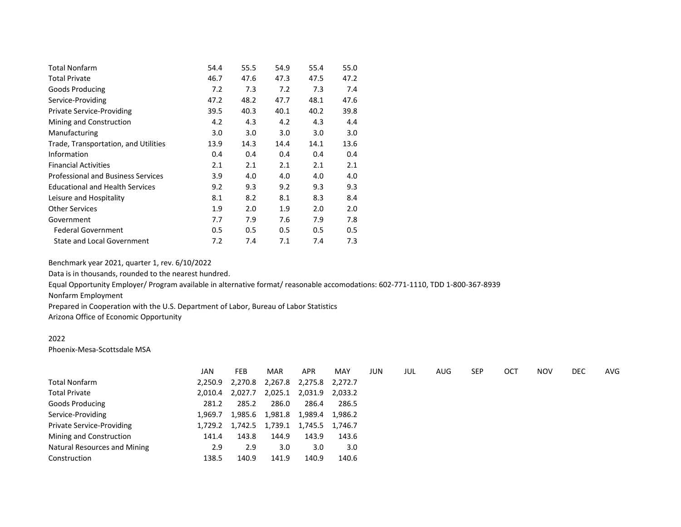| <b>Total Nonfarm</b>                      | 54.4 | 55.5 | 54.9 | 55.4 | 55.0 |
|-------------------------------------------|------|------|------|------|------|
| <b>Total Private</b>                      | 46.7 | 47.6 | 47.3 | 47.5 | 47.2 |
| Goods Producing                           | 7.2  | 7.3  | 7.2  | 7.3  | 7.4  |
| Service-Providing                         | 47.2 | 48.2 | 47.7 | 48.1 | 47.6 |
| <b>Private Service-Providing</b>          | 39.5 | 40.3 | 40.1 | 40.2 | 39.8 |
| Mining and Construction                   | 4.2  | 4.3  | 4.2  | 4.3  | 4.4  |
| Manufacturing                             | 3.0  | 3.0  | 3.0  | 3.0  | 3.0  |
| Trade, Transportation, and Utilities      | 13.9 | 14.3 | 14.4 | 14.1 | 13.6 |
| Information                               | 0.4  | 0.4  | 0.4  | 0.4  | 0.4  |
| <b>Financial Activities</b>               | 2.1  | 2.1  | 2.1  | 2.1  | 2.1  |
| <b>Professional and Business Services</b> | 3.9  | 4.0  | 4.0  | 4.0  | 4.0  |
| <b>Educational and Health Services</b>    | 9.2  | 9.3  | 9.2  | 9.3  | 9.3  |
| Leisure and Hospitality                   | 8.1  | 8.2  | 8.1  | 8.3  | 8.4  |
| <b>Other Services</b>                     | 1.9  | 2.0  | 1.9  | 2.0  | 2.0  |
| Government                                | 7.7  | 7.9  | 7.6  | 7.9  | 7.8  |
| <b>Federal Government</b>                 | 0.5  | 0.5  | 0.5  | 0.5  | 0.5  |
| State and Local Government                | 7.2  | 7.4  | 7.1  | 7.4  | 7.3  |

Data is in thousands, rounded to the nearest hundred.

Equal Opportunity Employer/ Program available in alternative format/ reasonable accomodations: 602-771-1110, TDD 1-800-367-8939

Nonfarm Employment

Prepared in Cooperation with the U.S. Department of Labor, Bureau of Labor Statistics

Arizona Office of Economic Opportunity

#### 2022

Phoenix-Mesa-Scottsdale MSA

|                              | JAN     | <b>FEB</b>                              | <b>MAR</b>      | <b>APR</b> | <b>MAY</b> | JUN | JUL | AUG | <b>SEP</b> | OCT | <b>NOV</b> | DEC | AVG |
|------------------------------|---------|-----------------------------------------|-----------------|------------|------------|-----|-----|-----|------------|-----|------------|-----|-----|
| <b>Total Nonfarm</b>         | 2,250.9 | 2,270.8                                 | 2,267.8 2,275.8 |            | 2,272.7    |     |     |     |            |     |            |     |     |
| <b>Total Private</b>         | 2.010.4 | 2,027.7                                 | 2,025.1         | 2,031.9    | 2,033.2    |     |     |     |            |     |            |     |     |
| Goods Producing              | 281.2   | 285.2                                   | 286.0           | 286.4      | 286.5      |     |     |     |            |     |            |     |     |
| Service-Providing            | 1.969.7 | 1,985.6                                 | 1,981.8         | 1,989.4    | 1,986.2    |     |     |     |            |     |            |     |     |
| Private Service-Providing    |         | 1,729.2 1,742.5 1,739.1 1,745.5 1,746.7 |                 |            |            |     |     |     |            |     |            |     |     |
| Mining and Construction      | 141.4   | 143.8                                   | 144.9           | 143.9      | 143.6      |     |     |     |            |     |            |     |     |
| Natural Resources and Mining | 2.9     | 2.9                                     | 3.0             | 3.0        | 3.0        |     |     |     |            |     |            |     |     |
| Construction                 | 138.5   | 140.9                                   | 141.9           | 140.9      | 140.6      |     |     |     |            |     |            |     |     |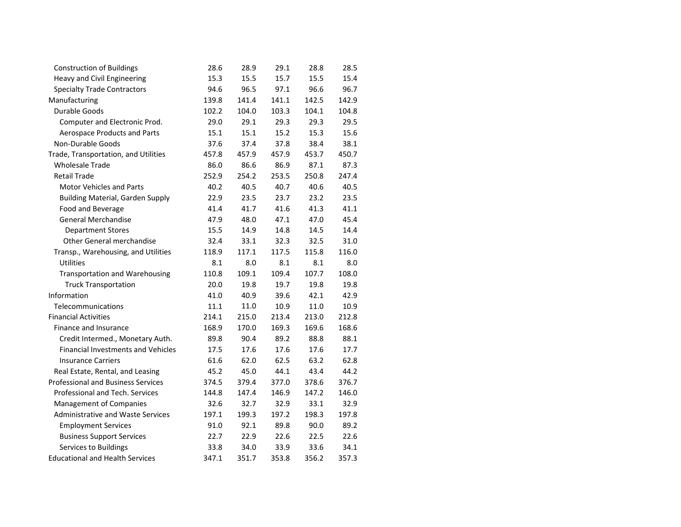| <b>Construction of Buildings</b>          | 28.6  | 28.9  | 29.1  | 28.8  | 28.5  |
|-------------------------------------------|-------|-------|-------|-------|-------|
| Heavy and Civil Engineering               | 15.3  | 15.5  | 15.7  | 15.5  | 15.4  |
| <b>Specialty Trade Contractors</b>        | 94.6  | 96.5  | 97.1  | 96.6  | 96.7  |
| Manufacturing                             | 139.8 | 141.4 | 141.1 | 142.5 | 142.9 |
| Durable Goods                             | 102.2 | 104.0 | 103.3 | 104.1 | 104.8 |
| Computer and Electronic Prod.             | 29.0  | 29.1  | 29.3  | 29.3  | 29.5  |
| Aerospace Products and Parts              | 15.1  | 15.1  | 15.2  | 15.3  | 15.6  |
| Non-Durable Goods                         | 37.6  | 37.4  | 37.8  | 38.4  | 38.1  |
| Trade, Transportation, and Utilities      | 457.8 | 457.9 | 457.9 | 453.7 | 450.7 |
| <b>Wholesale Trade</b>                    | 86.0  | 86.6  | 86.9  | 87.1  | 87.3  |
| <b>Retail Trade</b>                       | 252.9 | 254.2 | 253.5 | 250.8 | 247.4 |
| <b>Motor Vehicles and Parts</b>           | 40.2  | 40.5  | 40.7  | 40.6  | 40.5  |
| <b>Building Material, Garden Supply</b>   | 22.9  | 23.5  | 23.7  | 23.2  | 23.5  |
| Food and Beverage                         | 41.4  | 41.7  | 41.6  | 41.3  | 41.1  |
| <b>General Merchandise</b>                | 47.9  | 48.0  | 47.1  | 47.0  | 45.4  |
| <b>Department Stores</b>                  | 15.5  | 14.9  | 14.8  | 14.5  | 14.4  |
| Other General merchandise                 | 32.4  | 33.1  | 32.3  | 32.5  | 31.0  |
| Transp., Warehousing, and Utilities       | 118.9 | 117.1 | 117.5 | 115.8 | 116.0 |
| Utilities                                 | 8.1   | 8.0   | 8.1   | 8.1   | 8.0   |
| <b>Transportation and Warehousing</b>     | 110.8 | 109.1 | 109.4 | 107.7 | 108.0 |
| <b>Truck Transportation</b>               | 20.0  | 19.8  | 19.7  | 19.8  | 19.8  |
| Information                               | 41.0  | 40.9  | 39.6  | 42.1  | 42.9  |
| Telecommunications                        | 11.1  | 11.0  | 10.9  | 11.0  | 10.9  |
| <b>Financial Activities</b>               | 214.1 | 215.0 | 213.4 | 213.0 | 212.8 |
| Finance and Insurance                     | 168.9 | 170.0 | 169.3 | 169.6 | 168.6 |
| Credit Intermed., Monetary Auth.          | 89.8  | 90.4  | 89.2  | 88.8  | 88.1  |
| Financial Investments and Vehicles        | 17.5  | 17.6  | 17.6  | 17.6  | 17.7  |
| <b>Insurance Carriers</b>                 | 61.6  | 62.0  | 62.5  | 63.2  | 62.8  |
| Real Estate, Rental, and Leasing          | 45.2  | 45.0  | 44.1  | 43.4  | 44.2  |
| <b>Professional and Business Services</b> | 374.5 | 379.4 | 377.0 | 378.6 | 376.7 |
| Professional and Tech. Services           | 144.8 | 147.4 | 146.9 | 147.2 | 146.0 |
| <b>Management of Companies</b>            | 32.6  | 32.7  | 32.9  | 33.1  | 32.9  |
| Administrative and Waste Services         | 197.1 | 199.3 | 197.2 | 198.3 | 197.8 |
| <b>Employment Services</b>                | 91.0  | 92.1  | 89.8  | 90.0  | 89.2  |
| <b>Business Support Services</b>          | 22.7  | 22.9  | 22.6  | 22.5  | 22.6  |
| Services to Buildings                     | 33.8  | 34.0  | 33.9  | 33.6  | 34.1  |
| <b>Educational and Health Services</b>    | 347.1 | 351.7 | 353.8 | 356.2 | 357.3 |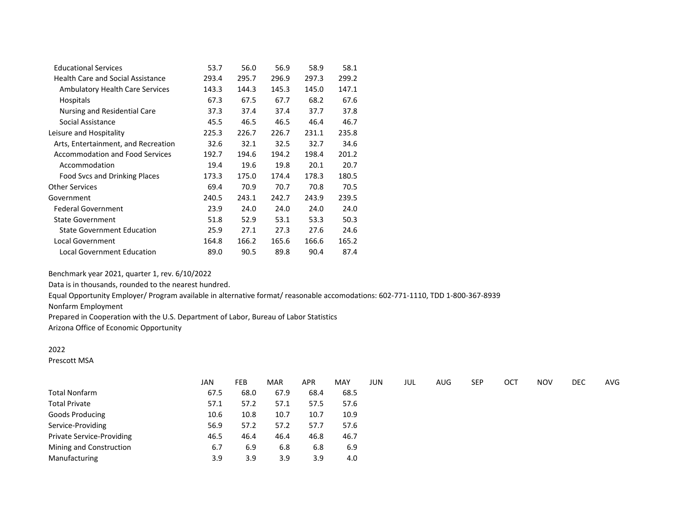| <b>Educational Services</b>              | 53.7  | 56.0  | 56.9  | 58.9  | 58.1  |
|------------------------------------------|-------|-------|-------|-------|-------|
| <b>Health Care and Social Assistance</b> | 293.4 | 295.7 | 296.9 | 297.3 | 299.2 |
| <b>Ambulatory Health Care Services</b>   | 143.3 | 144.3 | 145.3 | 145.0 | 147.1 |
| <b>Hospitals</b>                         | 67.3  | 67.5  | 67.7  | 68.2  | 67.6  |
| Nursing and Residential Care             | 37.3  | 37.4  | 37.4  | 37.7  | 37.8  |
| Social Assistance                        | 45.5  | 46.5  | 46.5  | 46.4  | 46.7  |
| Leisure and Hospitality                  | 225.3 | 226.7 | 226.7 | 231.1 | 235.8 |
| Arts, Entertainment, and Recreation      | 32.6  | 32.1  | 32.5  | 32.7  | 34.6  |
| <b>Accommodation and Food Services</b>   | 192.7 | 194.6 | 194.2 | 198.4 | 201.2 |
| Accommodation                            | 19.4  | 19.6  | 19.8  | 20.1  | 20.7  |
| Food Svcs and Drinking Places            | 173.3 | 175.0 | 174.4 | 178.3 | 180.5 |
| <b>Other Services</b>                    | 69.4  | 70.9  | 70.7  | 70.8  | 70.5  |
| Government                               | 240.5 | 243.1 | 242.7 | 243.9 | 239.5 |
| <b>Federal Government</b>                | 23.9  | 24.0  | 24.0  | 24.0  | 24.0  |
| <b>State Government</b>                  | 51.8  | 52.9  | 53.1  | 53.3  | 50.3  |
| <b>State Government Education</b>        | 25.9  | 27.1  | 27.3  | 27.6  | 24.6  |
| Local Government                         | 164.8 | 166.2 | 165.6 | 166.6 | 165.2 |
| Local Government Education               | 89.0  | 90.5  | 89.8  | 90.4  | 87.4  |

Data is in thousands, rounded to the nearest hundred.

Equal Opportunity Employer/ Program available in alternative format/ reasonable accomodations: 602-771-1110, TDD 1-800-367-8939

Nonfarm Employment

Prepared in Cooperation with the U.S. Department of Labor, Bureau of Labor Statistics

Arizona Office of Economic Opportunity

# 2022

Prescott MSA

|                           | <b>JAN</b> | <b>FEB</b> | <b>MAR</b> | <b>APR</b> | <b>MAY</b> | <b>JUN</b> | JUL | AUG | <b>SEP</b> | ОСТ | <b>NOV</b> | DEC | AVG |
|---------------------------|------------|------------|------------|------------|------------|------------|-----|-----|------------|-----|------------|-----|-----|
| <b>Total Nonfarm</b>      | 67.5       | 68.0       | 67.9       | 68.4       | 68.5       |            |     |     |            |     |            |     |     |
| <b>Total Private</b>      | 57.1       | 57.2       | 57.1       | 57.5       | 57.6       |            |     |     |            |     |            |     |     |
| <b>Goods Producing</b>    | 10.6       | 10.8       | 10.7       | 10.7       | 10.9       |            |     |     |            |     |            |     |     |
| Service-Providing         | 56.9       | 57.2       | 57.2       | 57.7       | 57.6       |            |     |     |            |     |            |     |     |
| Private Service-Providing | 46.5       | 46.4       | 46.4       | 46.8       | 46.7       |            |     |     |            |     |            |     |     |
| Mining and Construction   | 6.7        | 6.9        | 6.8        | 6.8        | 6.9        |            |     |     |            |     |            |     |     |
| Manufacturing             | 3.9        | 3.9        | 3.9        | 3.9        | 4.0        |            |     |     |            |     |            |     |     |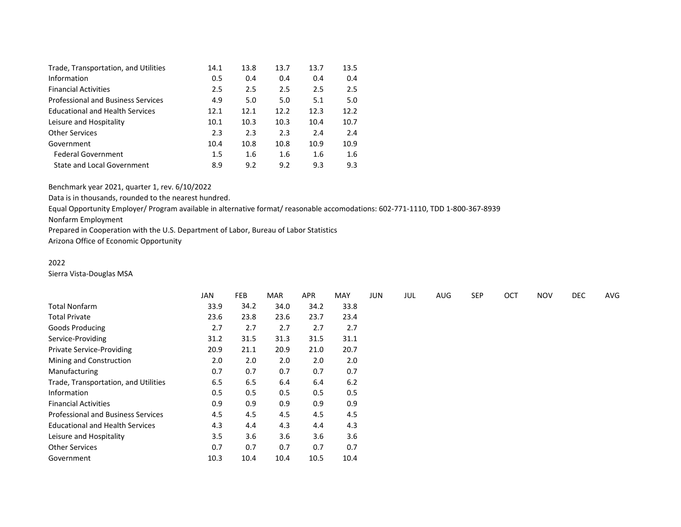| Trade, Transportation, and Utilities      | 14.1 | 13.8 | 13.7 | 13.7 | 13.5 |
|-------------------------------------------|------|------|------|------|------|
| Information                               | 0.5  | 0.4  | 0.4  | 0.4  | 0.4  |
| <b>Financial Activities</b>               | 2.5  | 2.5  | 2.5  | 2.5  | 2.5  |
| <b>Professional and Business Services</b> | 4.9  | 5.0  | 5.0  | 5.1  | 5.0  |
| <b>Educational and Health Services</b>    | 12.1 | 12.1 | 12.2 | 12.3 | 12.2 |
| Leisure and Hospitality                   | 10.1 | 10.3 | 10.3 | 10.4 | 10.7 |
| <b>Other Services</b>                     | 2.3  | 2.3  | 2.3  | 2.4  | 2.4  |
| Government                                | 10.4 | 10.8 | 10.8 | 10.9 | 10.9 |
| <b>Federal Government</b>                 | 1.5  | 1.6  | 1.6  | 1.6  | 1.6  |
| State and Local Government                | 8.9  | 9.2  | 9.2  | 9.3  | 9.3  |

Data is in thousands, rounded to the nearest hundred.

Equal Opportunity Employer/ Program available in alternative format/ reasonable accomodations: 602-771-1110, TDD 1-800-367-8939

Nonfarm Employment

Prepared in Cooperation with the U.S. Department of Labor, Bureau of Labor Statistics

Arizona Office of Economic Opportunity

# 2022

Sierra Vista-Douglas MSA

|                                           | <b>JAN</b> | <b>FEB</b> | <b>MAR</b> | <b>APR</b> | <b>MAY</b> | <b>JUN</b> | JUL | AUG | <b>SEP</b> | OCT | <b>NOV</b> | <b>DEC</b> | AVG |
|-------------------------------------------|------------|------------|------------|------------|------------|------------|-----|-----|------------|-----|------------|------------|-----|
| Total Nonfarm                             | 33.9       | 34.2       | 34.0       | 34.2       | 33.8       |            |     |     |            |     |            |            |     |
| <b>Total Private</b>                      | 23.6       | 23.8       | 23.6       | 23.7       | 23.4       |            |     |     |            |     |            |            |     |
| <b>Goods Producing</b>                    | 2.7        | 2.7        | 2.7        | 2.7        | 2.7        |            |     |     |            |     |            |            |     |
| Service-Providing                         | 31.2       | 31.5       | 31.3       | 31.5       | 31.1       |            |     |     |            |     |            |            |     |
| Private Service-Providing                 | 20.9       | 21.1       | 20.9       | 21.0       | 20.7       |            |     |     |            |     |            |            |     |
| Mining and Construction                   | 2.0        | 2.0        | 2.0        | 2.0        | 2.0        |            |     |     |            |     |            |            |     |
| Manufacturing                             | 0.7        | 0.7        | 0.7        | 0.7        | 0.7        |            |     |     |            |     |            |            |     |
| Trade, Transportation, and Utilities      | 6.5        | 6.5        | 6.4        | 6.4        | 6.2        |            |     |     |            |     |            |            |     |
| Information                               | 0.5        | 0.5        | 0.5        | 0.5        | 0.5        |            |     |     |            |     |            |            |     |
| <b>Financial Activities</b>               | 0.9        | 0.9        | 0.9        | 0.9        | 0.9        |            |     |     |            |     |            |            |     |
| <b>Professional and Business Services</b> | 4.5        | 4.5        | 4.5        | 4.5        | 4.5        |            |     |     |            |     |            |            |     |
| <b>Educational and Health Services</b>    | 4.3        | 4.4        | 4.3        | 4.4        | 4.3        |            |     |     |            |     |            |            |     |
| Leisure and Hospitality                   | 3.5        | 3.6        | 3.6        | 3.6        | 3.6        |            |     |     |            |     |            |            |     |
| <b>Other Services</b>                     | 0.7        | 0.7        | 0.7        | 0.7        | 0.7        |            |     |     |            |     |            |            |     |
| Government                                | 10.3       | 10.4       | 10.4       | 10.5       | 10.4       |            |     |     |            |     |            |            |     |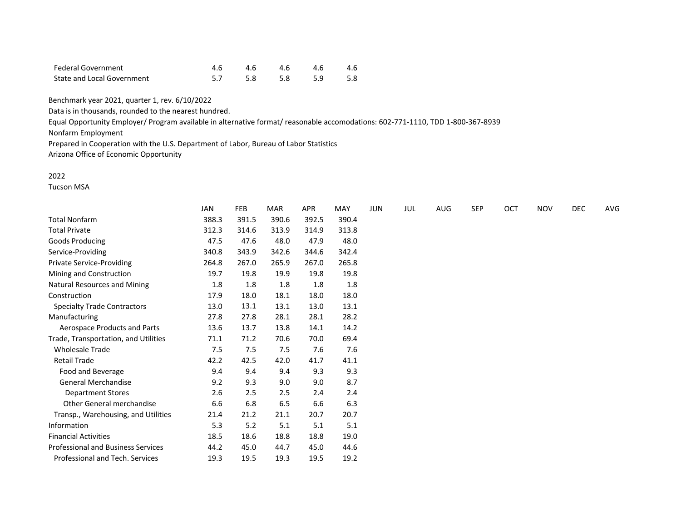| Federal Government         | 4.6 4.6 4.6 4.6 4.6 |  |  |
|----------------------------|---------------------|--|--|
| State and Local Government | 5.7 5.8 5.8 5.9 5.8 |  |  |

Data is in thousands, rounded to the nearest hundred.

Equal Opportunity Employer/ Program available in alternative format/ reasonable accomodations: 602-771-1110, TDD 1-800-367-8939

Nonfarm Employment

Prepared in Cooperation with the U.S. Department of Labor, Bureau of Labor Statistics

Arizona Office of Economic Opportunity

### 2022

Tucson MSA

|                                           | JAN   | <b>FEB</b> | <b>MAR</b> | <b>APR</b> | MAY   | <b>JUN</b> | JUL | AUG | <b>SEP</b> | OCT | <b>NOV</b> | DEC | AVG |
|-------------------------------------------|-------|------------|------------|------------|-------|------------|-----|-----|------------|-----|------------|-----|-----|
| <b>Total Nonfarm</b>                      | 388.3 | 391.5      | 390.6      | 392.5      | 390.4 |            |     |     |            |     |            |     |     |
| <b>Total Private</b>                      | 312.3 | 314.6      | 313.9      | 314.9      | 313.8 |            |     |     |            |     |            |     |     |
| Goods Producing                           | 47.5  | 47.6       | 48.0       | 47.9       | 48.0  |            |     |     |            |     |            |     |     |
| Service-Providing                         | 340.8 | 343.9      | 342.6      | 344.6      | 342.4 |            |     |     |            |     |            |     |     |
| <b>Private Service-Providing</b>          | 264.8 | 267.0      | 265.9      | 267.0      | 265.8 |            |     |     |            |     |            |     |     |
| Mining and Construction                   | 19.7  | 19.8       | 19.9       | 19.8       | 19.8  |            |     |     |            |     |            |     |     |
| Natural Resources and Mining              | 1.8   | 1.8        | 1.8        | 1.8        | 1.8   |            |     |     |            |     |            |     |     |
| Construction                              | 17.9  | 18.0       | 18.1       | 18.0       | 18.0  |            |     |     |            |     |            |     |     |
| <b>Specialty Trade Contractors</b>        | 13.0  | 13.1       | 13.1       | 13.0       | 13.1  |            |     |     |            |     |            |     |     |
| Manufacturing                             | 27.8  | 27.8       | 28.1       | 28.1       | 28.2  |            |     |     |            |     |            |     |     |
| Aerospace Products and Parts              | 13.6  | 13.7       | 13.8       | 14.1       | 14.2  |            |     |     |            |     |            |     |     |
| Trade, Transportation, and Utilities      | 71.1  | 71.2       | 70.6       | 70.0       | 69.4  |            |     |     |            |     |            |     |     |
| <b>Wholesale Trade</b>                    | 7.5   | 7.5        | 7.5        | 7.6        | 7.6   |            |     |     |            |     |            |     |     |
| <b>Retail Trade</b>                       | 42.2  | 42.5       | 42.0       | 41.7       | 41.1  |            |     |     |            |     |            |     |     |
| Food and Beverage                         | 9.4   | 9.4        | 9.4        | 9.3        | 9.3   |            |     |     |            |     |            |     |     |
| <b>General Merchandise</b>                | 9.2   | 9.3        | 9.0        | 9.0        | 8.7   |            |     |     |            |     |            |     |     |
| <b>Department Stores</b>                  | 2.6   | 2.5        | 2.5        | 2.4        | 2.4   |            |     |     |            |     |            |     |     |
| <b>Other General merchandise</b>          | 6.6   | 6.8        | 6.5        | 6.6        | 6.3   |            |     |     |            |     |            |     |     |
| Transp., Warehousing, and Utilities       | 21.4  | 21.2       | 21.1       | 20.7       | 20.7  |            |     |     |            |     |            |     |     |
| Information                               | 5.3   | 5.2        | 5.1        | 5.1        | 5.1   |            |     |     |            |     |            |     |     |
| <b>Financial Activities</b>               | 18.5  | 18.6       | 18.8       | 18.8       | 19.0  |            |     |     |            |     |            |     |     |
| <b>Professional and Business Services</b> | 44.2  | 45.0       | 44.7       | 45.0       | 44.6  |            |     |     |            |     |            |     |     |
| Professional and Tech. Services           | 19.3  | 19.5       | 19.3       | 19.5       | 19.2  |            |     |     |            |     |            |     |     |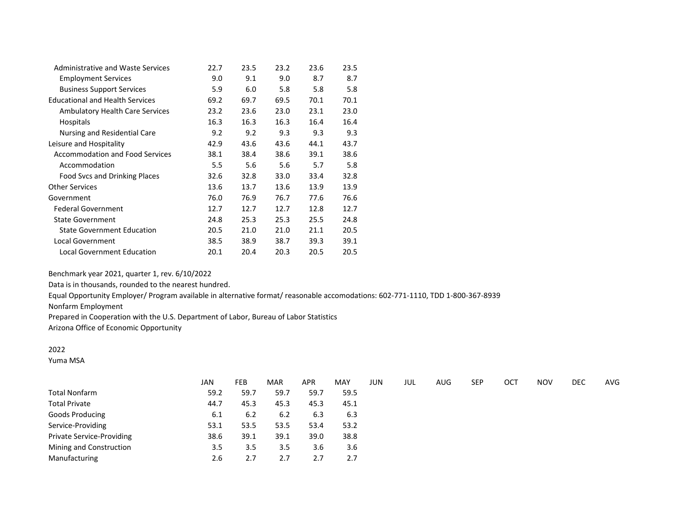| Administrative and Waste Services      | 22.7 | 23.5 | 23.2 | 23.6 | 23.5 |
|----------------------------------------|------|------|------|------|------|
| <b>Employment Services</b>             | 9.0  | 9.1  | 9.0  | 8.7  | 8.7  |
| <b>Business Support Services</b>       | 5.9  | 6.0  | 5.8  | 5.8  | 5.8  |
| <b>Educational and Health Services</b> | 69.2 | 69.7 | 69.5 | 70.1 | 70.1 |
| <b>Ambulatory Health Care Services</b> | 23.2 | 23.6 | 23.0 | 23.1 | 23.0 |
| <b>Hospitals</b>                       | 16.3 | 16.3 | 16.3 | 16.4 | 16.4 |
| Nursing and Residential Care           | 9.2  | 9.2  | 9.3  | 9.3  | 9.3  |
| Leisure and Hospitality                | 42.9 | 43.6 | 43.6 | 44.1 | 43.7 |
| <b>Accommodation and Food Services</b> | 38.1 | 38.4 | 38.6 | 39.1 | 38.6 |
| Accommodation                          | 5.5  | 5.6  | 5.6  | 5.7  | 5.8  |
| Food Svcs and Drinking Places          | 32.6 | 32.8 | 33.0 | 33.4 | 32.8 |
| <b>Other Services</b>                  | 13.6 | 13.7 | 13.6 | 13.9 | 13.9 |
| Government                             | 76.0 | 76.9 | 76.7 | 77.6 | 76.6 |
| <b>Federal Government</b>              | 12.7 | 12.7 | 12.7 | 12.8 | 12.7 |
| <b>State Government</b>                | 24.8 | 25.3 | 25.3 | 25.5 | 24.8 |
| <b>State Government Education</b>      | 20.5 | 21.0 | 21.0 | 21.1 | 20.5 |
| Local Government                       | 38.5 | 38.9 | 38.7 | 39.3 | 39.1 |
| Local Government Education             | 20.1 | 20.4 | 20.3 | 20.5 | 20.5 |

Data is in thousands, rounded to the nearest hundred.

Equal Opportunity Employer/ Program available in alternative format/ reasonable accomodations: 602-771-1110, TDD 1-800-367-8939

Nonfarm Employment

Prepared in Cooperation with the U.S. Department of Labor, Bureau of Labor Statistics

Arizona Office of Economic Opportunity

## 2022

Yuma MSA

|                           | <b>JAN</b> | <b>FEB</b> | <b>MAR</b> | <b>APR</b> | <b>MAY</b> | JUN | JUL | <b>AUG</b> | <b>SEP</b> | OCT | <b>NOV</b> | DEC | AVG |
|---------------------------|------------|------------|------------|------------|------------|-----|-----|------------|------------|-----|------------|-----|-----|
| Total Nonfarm             | 59.2       | 59.7       | 59.7       | 59.7       | 59.5       |     |     |            |            |     |            |     |     |
| <b>Total Private</b>      | 44.7       | 45.3       | 45.3       | 45.3       | 45.1       |     |     |            |            |     |            |     |     |
| <b>Goods Producing</b>    | 6.1        | 6.2        | 6.2        | 6.3        | 6.3        |     |     |            |            |     |            |     |     |
| Service-Providing         | 53.1       | 53.5       | 53.5       | 53.4       | 53.2       |     |     |            |            |     |            |     |     |
| Private Service-Providing | 38.6       | 39.1       | 39.1       | 39.0       | 38.8       |     |     |            |            |     |            |     |     |
| Mining and Construction   | 3.5        | 3.5        | 3.5        | 3.6        | 3.6        |     |     |            |            |     |            |     |     |
| Manufacturing             | 2.6        | 2.7        | 2.7        | 2.7        | 2.7        |     |     |            |            |     |            |     |     |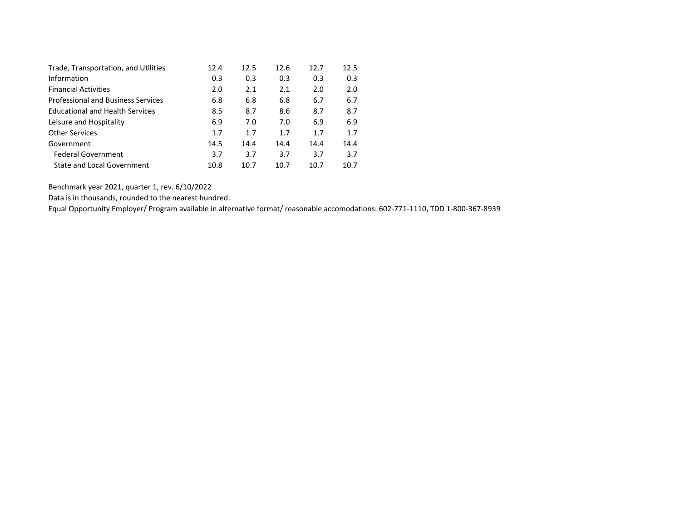| Trade, Transportation, and Utilities      | 12.4 | 12.5 | 12.6 | 12.7 | 12.5 |
|-------------------------------------------|------|------|------|------|------|
| Information                               | 0.3  | 0.3  | 0.3  | 0.3  | 0.3  |
| <b>Financial Activities</b>               | 2.0  | 2.1  | 2.1  | 2.0  | 2.0  |
| <b>Professional and Business Services</b> | 6.8  | 6.8  | 6.8  | 6.7  | 6.7  |
| <b>Educational and Health Services</b>    | 8.5  | 8.7  | 8.6  | 8.7  | 8.7  |
| Leisure and Hospitality                   | 6.9  | 7.0  | 7.0  | 6.9  | 6.9  |
| <b>Other Services</b>                     | 1.7  | 1.7  | 1.7  | 1.7  | 1.7  |
| Government                                | 14.5 | 14.4 | 14.4 | 14.4 | 14.4 |
| <b>Federal Government</b>                 | 3.7  | 3.7  | 3.7  | 3.7  | 3.7  |
| State and Local Government                | 10.8 | 10.7 | 10.7 | 10.7 | 10.7 |

Data is in thousands, rounded to the nearest hundred.

Equal Opportunity Employer/ Program available in alternative format/ reasonable accomodations: 602-771-1110, TDD 1-800-367-8939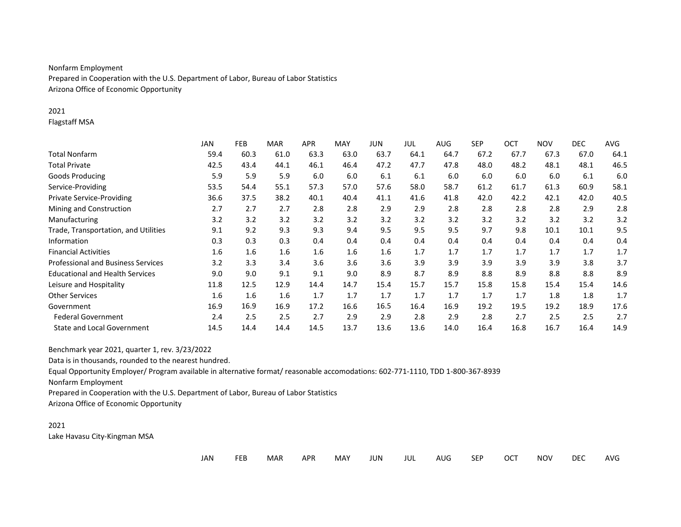# Nonfarm Employment

Prepared in Cooperation with the U.S. Department of Labor, Bureau of Labor Statistics Arizona Office of Economic Opportunity

#### 2021

Flagstaff MSA

|                                           | JAN  | FEB  | <b>MAR</b> | APR  | <b>MAY</b> | JUN  | JUL  | AUG  | SEP  | OCT  | <b>NOV</b> | <b>DEC</b> | AVG  |
|-------------------------------------------|------|------|------------|------|------------|------|------|------|------|------|------------|------------|------|
| <b>Total Nonfarm</b>                      | 59.4 | 60.3 | 61.0       | 63.3 | 63.0       | 63.7 | 64.1 | 64.7 | 67.2 | 67.7 | 67.3       | 67.0       | 64.1 |
| <b>Total Private</b>                      | 42.5 | 43.4 | 44.1       | 46.1 | 46.4       | 47.2 | 47.7 | 47.8 | 48.0 | 48.2 | 48.1       | 48.1       | 46.5 |
| <b>Goods Producing</b>                    | 5.9  | 5.9  | 5.9        | 6.0  | 6.0        | 6.1  | 6.1  | 6.0  | 6.0  | 6.0  | 6.0        | 6.1        | 6.0  |
| Service-Providing                         | 53.5 | 54.4 | 55.1       | 57.3 | 57.0       | 57.6 | 58.0 | 58.7 | 61.2 | 61.7 | 61.3       | 60.9       | 58.1 |
| <b>Private Service-Providing</b>          | 36.6 | 37.5 | 38.2       | 40.1 | 40.4       | 41.1 | 41.6 | 41.8 | 42.0 | 42.2 | 42.1       | 42.0       | 40.5 |
| Mining and Construction                   | 2.7  | 2.7  | 2.7        | 2.8  | 2.8        | 2.9  | 2.9  | 2.8  | 2.8  | 2.8  | 2.8        | 2.9        | 2.8  |
| Manufacturing                             | 3.2  | 3.2  | 3.2        | 3.2  | 3.2        | 3.2  | 3.2  | 3.2  | 3.2  | 3.2  | 3.2        | 3.2        | 3.2  |
| Trade, Transportation, and Utilities      | 9.1  | 9.2  | 9.3        | 9.3  | 9.4        | 9.5  | 9.5  | 9.5  | 9.7  | 9.8  | 10.1       | 10.1       | 9.5  |
| Information                               | 0.3  | 0.3  | 0.3        | 0.4  | 0.4        | 0.4  | 0.4  | 0.4  | 0.4  | 0.4  | 0.4        | 0.4        | 0.4  |
| <b>Financial Activities</b>               | 1.6  | 1.6  | 1.6        | 1.6  | 1.6        | 1.6  | 1.7  | 1.7  | 1.7  | 1.7  | 1.7        | 1.7        | 1.7  |
| <b>Professional and Business Services</b> | 3.2  | 3.3  | 3.4        | 3.6  | 3.6        | 3.6  | 3.9  | 3.9  | 3.9  | 3.9  | 3.9        | 3.8        | 3.7  |
| <b>Educational and Health Services</b>    | 9.0  | 9.0  | 9.1        | 9.1  | 9.0        | 8.9  | 8.7  | 8.9  | 8.8  | 8.9  | 8.8        | 8.8        | 8.9  |
| Leisure and Hospitality                   | 11.8 | 12.5 | 12.9       | 14.4 | 14.7       | 15.4 | 15.7 | 15.7 | 15.8 | 15.8 | 15.4       | 15.4       | 14.6 |
| <b>Other Services</b>                     | 1.6  | 1.6  | 1.6        | 1.7  | 1.7        | 1.7  | 1.7  | 1.7  | 1.7  | 1.7  | 1.8        | 1.8        | 1.7  |
| Government                                | 16.9 | 16.9 | 16.9       | 17.2 | 16.6       | 16.5 | 16.4 | 16.9 | 19.2 | 19.5 | 19.2       | 18.9       | 17.6 |
| <b>Federal Government</b>                 | 2.4  | 2.5  | 2.5        | 2.7  | 2.9        | 2.9  | 2.8  | 2.9  | 2.8  | 2.7  | 2.5        | 2.5        | 2.7  |
| State and Local Government                | 14.5 | 14.4 | 14.4       | 14.5 | 13.7       | 13.6 | 13.6 | 14.0 | 16.4 | 16.8 | 16.7       | 16.4       | 14.9 |

Benchmark year 2021, quarter 1, rev. 3/23/2022

Data is in thousands, rounded to the nearest hundred.

Equal Opportunity Employer/ Program available in alternative format/ reasonable accomodations: 602-771-1110, TDD 1-800-367-8939

Nonfarm Employment

Prepared in Cooperation with the U.S. Department of Labor, Bureau of Labor Statistics

Arizona Office of Economic Opportunity

#### 2021 Lake Havasu City-Kingman MSA

| ___<br>$\sim$ $\sim$ $\sim$ $\sim$ $\sim$ $\sim$ $\sim$ | JAN | <b>FEB</b> | <b>MAR</b> | <b>APR</b> | <b>MAY</b> | JUN | jul | AUG. | <b>SEP</b> | <b>OCT</b> | <b>NOV</b> | <b>DEC</b> | AVG |
|---------------------------------------------------------|-----|------------|------------|------------|------------|-----|-----|------|------------|------------|------------|------------|-----|
|---------------------------------------------------------|-----|------------|------------|------------|------------|-----|-----|------|------------|------------|------------|------------|-----|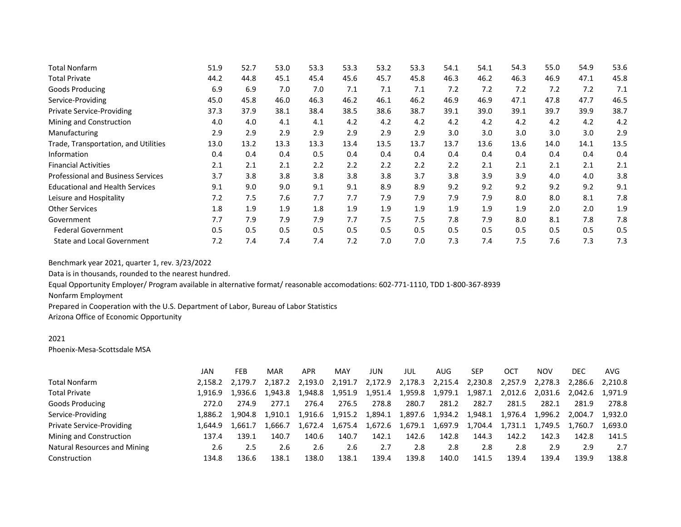| <b>Total Nonfarm</b>                      | 51.9 | 52.7 | 53.0 | 53.3 | 53.3 | 53.2 | 53.3 | 54.1 | 54.1 | 54.3 | 55.0 | 54.9 | 53.6 |
|-------------------------------------------|------|------|------|------|------|------|------|------|------|------|------|------|------|
| <b>Total Private</b>                      | 44.2 | 44.8 | 45.1 | 45.4 | 45.6 | 45.7 | 45.8 | 46.3 | 46.2 | 46.3 | 46.9 | 47.1 | 45.8 |
| Goods Producing                           | 6.9  | 6.9  | 7.0  | 7.0  | 7.1  | 7.1  | 7.1  | 7.2  | 7.2  | 7.2  | 7.2  | 7.2  | 7.1  |
| Service-Providing                         | 45.0 | 45.8 | 46.0 | 46.3 | 46.2 | 46.1 | 46.2 | 46.9 | 46.9 | 47.1 | 47.8 | 47.7 | 46.5 |
| <b>Private Service-Providing</b>          | 37.3 | 37.9 | 38.1 | 38.4 | 38.5 | 38.6 | 38.7 | 39.1 | 39.0 | 39.1 | 39.7 | 39.9 | 38.7 |
| Mining and Construction                   | 4.0  | 4.0  | 4.1  | 4.1  | 4.2  | 4.2  | 4.2  | 4.2  | 4.2  | 4.2  | 4.2  | 4.2  | 4.2  |
| Manufacturing                             | 2.9  | 2.9  | 2.9  | 2.9  | 2.9  | 2.9  | 2.9  | 3.0  | 3.0  | 3.0  | 3.0  | 3.0  | 2.9  |
| Trade, Transportation, and Utilities      | 13.0 | 13.2 | 13.3 | 13.3 | 13.4 | 13.5 | 13.7 | 13.7 | 13.6 | 13.6 | 14.0 | 14.1 | 13.5 |
| Information                               | 0.4  | 0.4  | 0.4  | 0.5  | 0.4  | 0.4  | 0.4  | 0.4  | 0.4  | 0.4  | 0.4  | 0.4  | 0.4  |
| <b>Financial Activities</b>               | 2.1  | 2.1  | 2.1  | 2.2  | 2.2  | 2.2  | 2.2  | 2.2  | 2.1  | 2.1  | 2.1  | 2.1  | 2.1  |
| <b>Professional and Business Services</b> | 3.7  | 3.8  | 3.8  | 3.8  | 3.8  | 3.8  | 3.7  | 3.8  | 3.9  | 3.9  | 4.0  | 4.0  | 3.8  |
| <b>Educational and Health Services</b>    | 9.1  | 9.0  | 9.0  | 9.1  | 9.1  | 8.9  | 8.9  | 9.2  | 9.2  | 9.2  | 9.2  | 9.2  | 9.1  |
| Leisure and Hospitality                   | 7.2  | 7.5  | 7.6  | 7.7  | 7.7  | 7.9  | 7.9  | 7.9  | 7.9  | 8.0  | 8.0  | 8.1  | 7.8  |
| <b>Other Services</b>                     | 1.8  | 1.9  | 1.9  | 1.8  | 1.9  | 1.9  | 1.9  | 1.9  | 1.9  | 1.9  | 2.0  | 2.0  | 1.9  |
| Government                                | 7.7  | 7.9  | 7.9  | 7.9  | 7.7  | 7.5  | 7.5  | 7.8  | 7.9  | 8.0  | 8.1  | 7.8  | 7.8  |
| <b>Federal Government</b>                 | 0.5  | 0.5  | 0.5  | 0.5  | 0.5  | 0.5  | 0.5  | 0.5  | 0.5  | 0.5  | 0.5  | 0.5  | 0.5  |
| <b>State and Local Government</b>         | 7.2  | 7.4  | 7.4  | 7.4  | 7.2  | 7.0  | 7.0  | 7.3  | 7.4  | 7.5  | 7.6  | 7.3  | 7.3  |

Data is in thousands, rounded to the nearest hundred.

Equal Opportunity Employer/ Program available in alternative format/ reasonable accomodations: 602-771-1110, TDD 1-800-367-8939

Nonfarm Employment

Prepared in Cooperation with the U.S. Department of Labor, Bureau of Labor Statistics

Arizona Office of Economic Opportunity

#### 2021

Phoenix-Mesa-Scottsdale MSA

|                                  | JAN     | <b>FEB</b>      | MAR     | APR     | <b>MAY</b> | JUN     | JUL             | AUG     | SEP     | OCT     | <b>NOV</b> | DEC     | AVG             |
|----------------------------------|---------|-----------------|---------|---------|------------|---------|-----------------|---------|---------|---------|------------|---------|-----------------|
| Total Nonfarm                    | 2.158.2 | 2.179.7         | 2.187.2 | 2.193.0 | 2.191.7    | 2,172.9 | 2,178.3         | 2,215.4 | 2,230.8 | 2,257.9 | 2,278.3    |         | 2.286.6 2.210.8 |
| <b>Total Private</b>             |         | 1.916.9 1.936.6 | 1.943.8 | 1.948.8 | 1,951.9    | 1,951.4 | 1,959.8         | 1,979.1 | 1,987.1 | 2,012.6 | 2.031.6    | 2.042.6 | 1.971.9         |
| <b>Goods Producing</b>           | 272.0   | 274.9           | 277.1   | 276.4   | 276.5      | 278.8   | 280.7           | 281.2   | 282.7   | 281.5   | 282.1      | 281.9   | 278.8           |
| Service-Providing                | 1.886.2 | 1.904.8         | 1.910.1 | 1.916.6 | 1,915.2    | 1,894.1 | 1,897.6 1,934.2 |         | 1,948.1 | 1,976.4 | 1,996.2    | 2.004.7 | 1.932.0         |
| <b>Private Service-Providing</b> | 1.644.9 | 1.661.7         | 1.666.7 | 1.672.4 | 1.675.4    |         | 1,672.6 1,679.1 | 1,697.9 | 1,704.4 | 1,731.1 | 1,749.5    | 1.760.7 | 1,693.0         |
| Mining and Construction          | 137.4   | 139.1           | 140.7   | 140.6   | 140.7      | 142.1   | 142.6           | 142.8   | 144.3   | 142.2   | 142.3      | 142.8   | 141.5           |
| Natural Resources and Mining     | 2.6     | 2.5             | 2.6     | 2.6     | 2.6        | 2.7     | 2.8             | 2.8     | 2.8     | 2.8     | 2.9        | 2.9     | 2.7             |
| Construction                     | 134.8   | L36.6           | 138.1   | 138.0   | 138.1      | 139.4   | 139.8           | 140.0   | 141.5   | 139.4   | 139.4      | 139.9   | 138.8           |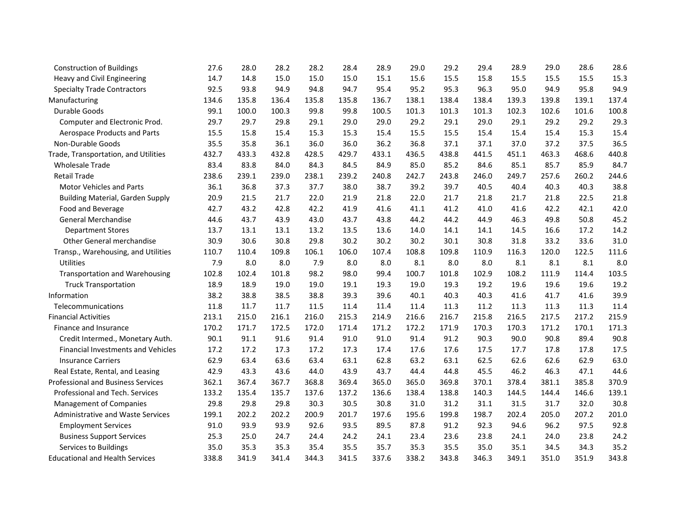| <b>Construction of Buildings</b>          | 27.6  | 28.0  | 28.2  | 28.2  | 28.4  | 28.9  | 29.0  | 29.2  | 29.4  | 28.9  | 29.0  | 28.6  | 28.6  |
|-------------------------------------------|-------|-------|-------|-------|-------|-------|-------|-------|-------|-------|-------|-------|-------|
| Heavy and Civil Engineering               | 14.7  | 14.8  | 15.0  | 15.0  | 15.0  | 15.1  | 15.6  | 15.5  | 15.8  | 15.5  | 15.5  | 15.5  | 15.3  |
| <b>Specialty Trade Contractors</b>        | 92.5  | 93.8  | 94.9  | 94.8  | 94.7  | 95.4  | 95.2  | 95.3  | 96.3  | 95.0  | 94.9  | 95.8  | 94.9  |
| Manufacturing                             | 134.6 | 135.8 | 136.4 | 135.8 | 135.8 | 136.7 | 138.1 | 138.4 | 138.4 | 139.3 | 139.8 | 139.1 | 137.4 |
| Durable Goods                             | 99.1  | 100.0 | 100.3 | 99.8  | 99.8  | 100.5 | 101.3 | 101.3 | 101.3 | 102.3 | 102.6 | 101.6 | 100.8 |
| Computer and Electronic Prod.             | 29.7  | 29.7  | 29.8  | 29.1  | 29.0  | 29.0  | 29.2  | 29.1  | 29.0  | 29.1  | 29.2  | 29.2  | 29.3  |
| Aerospace Products and Parts              | 15.5  | 15.8  | 15.4  | 15.3  | 15.3  | 15.4  | 15.5  | 15.5  | 15.4  | 15.4  | 15.4  | 15.3  | 15.4  |
| Non-Durable Goods                         | 35.5  | 35.8  | 36.1  | 36.0  | 36.0  | 36.2  | 36.8  | 37.1  | 37.1  | 37.0  | 37.2  | 37.5  | 36.5  |
| Trade, Transportation, and Utilities      | 432.7 | 433.3 | 432.8 | 428.5 | 429.7 | 433.1 | 436.5 | 438.8 | 441.5 | 451.1 | 463.3 | 468.6 | 440.8 |
| <b>Wholesale Trade</b>                    | 83.4  | 83.8  | 84.0  | 84.3  | 84.5  | 84.9  | 85.0  | 85.2  | 84.6  | 85.1  | 85.7  | 85.9  | 84.7  |
| <b>Retail Trade</b>                       | 238.6 | 239.1 | 239.0 | 238.1 | 239.2 | 240.8 | 242.7 | 243.8 | 246.0 | 249.7 | 257.6 | 260.2 | 244.6 |
| <b>Motor Vehicles and Parts</b>           | 36.1  | 36.8  | 37.3  | 37.7  | 38.0  | 38.7  | 39.2  | 39.7  | 40.5  | 40.4  | 40.3  | 40.3  | 38.8  |
| <b>Building Material, Garden Supply</b>   | 20.9  | 21.5  | 21.7  | 22.0  | 21.9  | 21.8  | 22.0  | 21.7  | 21.8  | 21.7  | 21.8  | 22.5  | 21.8  |
| Food and Beverage                         | 42.7  | 43.2  | 42.8  | 42.2  | 41.9  | 41.6  | 41.1  | 41.2  | 41.0  | 41.6  | 42.2  | 42.1  | 42.0  |
| <b>General Merchandise</b>                | 44.6  | 43.7  | 43.9  | 43.0  | 43.7  | 43.8  | 44.2  | 44.2  | 44.9  | 46.3  | 49.8  | 50.8  | 45.2  |
| <b>Department Stores</b>                  | 13.7  | 13.1  | 13.1  | 13.2  | 13.5  | 13.6  | 14.0  | 14.1  | 14.1  | 14.5  | 16.6  | 17.2  | 14.2  |
| Other General merchandise                 | 30.9  | 30.6  | 30.8  | 29.8  | 30.2  | 30.2  | 30.2  | 30.1  | 30.8  | 31.8  | 33.2  | 33.6  | 31.0  |
| Transp., Warehousing, and Utilities       | 110.7 | 110.4 | 109.8 | 106.1 | 106.0 | 107.4 | 108.8 | 109.8 | 110.9 | 116.3 | 120.0 | 122.5 | 111.6 |
| Utilities                                 | 7.9   | 8.0   | 8.0   | 7.9   | 8.0   | 8.0   | 8.1   | 8.0   | 8.0   | 8.1   | 8.1   | 8.1   | 8.0   |
| <b>Transportation and Warehousing</b>     | 102.8 | 102.4 | 101.8 | 98.2  | 98.0  | 99.4  | 100.7 | 101.8 | 102.9 | 108.2 | 111.9 | 114.4 | 103.5 |
| <b>Truck Transportation</b>               | 18.9  | 18.9  | 19.0  | 19.0  | 19.1  | 19.3  | 19.0  | 19.3  | 19.2  | 19.6  | 19.6  | 19.6  | 19.2  |
| Information                               | 38.2  | 38.8  | 38.5  | 38.8  | 39.3  | 39.6  | 40.1  | 40.3  | 40.3  | 41.6  | 41.7  | 41.6  | 39.9  |
| Telecommunications                        | 11.8  | 11.7  | 11.7  | 11.5  | 11.4  | 11.4  | 11.4  | 11.3  | 11.2  | 11.3  | 11.3  | 11.3  | 11.4  |
| <b>Financial Activities</b>               | 213.1 | 215.0 | 216.1 | 216.0 | 215.3 | 214.9 | 216.6 | 216.7 | 215.8 | 216.5 | 217.5 | 217.2 | 215.9 |
| Finance and Insurance                     | 170.2 | 171.7 | 172.5 | 172.0 | 171.4 | 171.2 | 172.2 | 171.9 | 170.3 | 170.3 | 171.2 | 170.1 | 171.3 |
| Credit Intermed., Monetary Auth.          | 90.1  | 91.1  | 91.6  | 91.4  | 91.0  | 91.0  | 91.4  | 91.2  | 90.3  | 90.0  | 90.8  | 89.4  | 90.8  |
| <b>Financial Investments and Vehicles</b> | 17.2  | 17.2  | 17.3  | 17.2  | 17.3  | 17.4  | 17.6  | 17.6  | 17.5  | 17.7  | 17.8  | 17.8  | 17.5  |
| <b>Insurance Carriers</b>                 | 62.9  | 63.4  | 63.6  | 63.4  | 63.1  | 62.8  | 63.2  | 63.1  | 62.5  | 62.6  | 62.6  | 62.9  | 63.0  |
| Real Estate, Rental, and Leasing          | 42.9  | 43.3  | 43.6  | 44.0  | 43.9  | 43.7  | 44.4  | 44.8  | 45.5  | 46.2  | 46.3  | 47.1  | 44.6  |
| <b>Professional and Business Services</b> | 362.1 | 367.4 | 367.7 | 368.8 | 369.4 | 365.0 | 365.0 | 369.8 | 370.1 | 378.4 | 381.1 | 385.8 | 370.9 |
| Professional and Tech. Services           | 133.2 | 135.4 | 135.7 | 137.6 | 137.2 | 136.6 | 138.4 | 138.8 | 140.3 | 144.5 | 144.4 | 146.6 | 139.1 |
| Management of Companies                   | 29.8  | 29.8  | 29.8  | 30.3  | 30.5  | 30.8  | 31.0  | 31.2  | 31.1  | 31.5  | 31.7  | 32.0  | 30.8  |
| <b>Administrative and Waste Services</b>  | 199.1 | 202.2 | 202.2 | 200.9 | 201.7 | 197.6 | 195.6 | 199.8 | 198.7 | 202.4 | 205.0 | 207.2 | 201.0 |
| <b>Employment Services</b>                | 91.0  | 93.9  | 93.9  | 92.6  | 93.5  | 89.5  | 87.8  | 91.2  | 92.3  | 94.6  | 96.2  | 97.5  | 92.8  |
| <b>Business Support Services</b>          | 25.3  | 25.0  | 24.7  | 24.4  | 24.2  | 24.1  | 23.4  | 23.6  | 23.8  | 24.1  | 24.0  | 23.8  | 24.2  |
| Services to Buildings                     | 35.0  | 35.3  | 35.3  | 35.4  | 35.5  | 35.7  | 35.3  | 35.5  | 35.0  | 35.1  | 34.5  | 34.3  | 35.2  |
| <b>Educational and Health Services</b>    | 338.8 | 341.9 | 341.4 | 344.3 | 341.5 | 337.6 | 338.2 | 343.8 | 346.3 | 349.1 | 351.0 | 351.9 | 343.8 |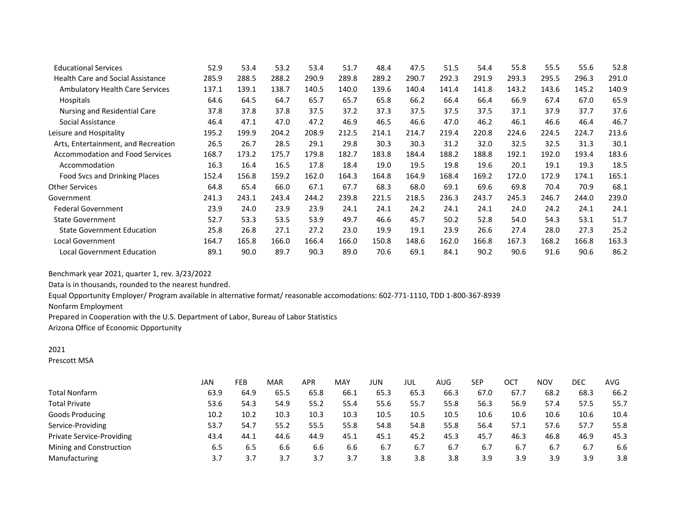| <b>Educational Services</b>              | 52.9  | 53.4  | 53.2  | 53.4  | 51.7  | 48.4  | 47.5  | 51.5  | 54.4  | 55.8  | 55.5  | 55.6  | 52.8  |
|------------------------------------------|-------|-------|-------|-------|-------|-------|-------|-------|-------|-------|-------|-------|-------|
| <b>Health Care and Social Assistance</b> | 285.9 | 288.5 | 288.2 | 290.9 | 289.8 | 289.2 | 290.7 | 292.3 | 291.9 | 293.3 | 295.5 | 296.3 | 291.0 |
| <b>Ambulatory Health Care Services</b>   | 137.1 | 139.1 | 138.7 | 140.5 | 140.0 | 139.6 | 140.4 | 141.4 | 141.8 | 143.2 | 143.6 | 145.2 | 140.9 |
| Hospitals                                | 64.6  | 64.5  | 64.7  | 65.7  | 65.7  | 65.8  | 66.2  | 66.4  | 66.4  | 66.9  | 67.4  | 67.0  | 65.9  |
| Nursing and Residential Care             | 37.8  | 37.8  | 37.8  | 37.5  | 37.2  | 37.3  | 37.5  | 37.5  | 37.5  | 37.1  | 37.9  | 37.7  | 37.6  |
| Social Assistance                        | 46.4  | 47.1  | 47.0  | 47.2  | 46.9  | 46.5  | 46.6  | 47.0  | 46.2  | 46.1  | 46.6  | 46.4  | 46.7  |
| Leisure and Hospitality                  | 195.2 | 199.9 | 204.2 | 208.9 | 212.5 | 214.1 | 214.7 | 219.4 | 220.8 | 224.6 | 224.5 | 224.7 | 213.6 |
| Arts, Entertainment, and Recreation      | 26.5  | 26.7  | 28.5  | 29.1  | 29.8  | 30.3  | 30.3  | 31.2  | 32.0  | 32.5  | 32.5  | 31.3  | 30.1  |
| <b>Accommodation and Food Services</b>   | 168.7 | 173.2 | 175.7 | 179.8 | 182.7 | 183.8 | 184.4 | 188.2 | 188.8 | 192.1 | 192.0 | 193.4 | 183.6 |
| Accommodation                            | 16.3  | 16.4  | 16.5  | 17.8  | 18.4  | 19.0  | 19.5  | 19.8  | 19.6  | 20.1  | 19.1  | 19.3  | 18.5  |
| Food Svcs and Drinking Places            | 152.4 | 156.8 | 159.2 | 162.0 | 164.3 | 164.8 | 164.9 | 168.4 | 169.2 | 172.0 | 172.9 | 174.1 | 165.1 |
| <b>Other Services</b>                    | 64.8  | 65.4  | 66.0  | 67.1  | 67.7  | 68.3  | 68.0  | 69.1  | 69.6  | 69.8  | 70.4  | 70.9  | 68.1  |
| Government                               | 241.3 | 243.1 | 243.4 | 244.2 | 239.8 | 221.5 | 218.5 | 236.3 | 243.7 | 245.3 | 246.7 | 244.0 | 239.0 |
| <b>Federal Government</b>                | 23.9  | 24.0  | 23.9  | 23.9  | 24.1  | 24.1  | 24.2  | 24.1  | 24.1  | 24.0  | 24.2  | 24.1  | 24.1  |
| <b>State Government</b>                  | 52.7  | 53.3  | 53.5  | 53.9  | 49.7  | 46.6  | 45.7  | 50.2  | 52.8  | 54.0  | 54.3  | 53.1  | 51.7  |
| <b>State Government Education</b>        | 25.8  | 26.8  | 27.1  | 27.2  | 23.0  | 19.9  | 19.1  | 23.9  | 26.6  | 27.4  | 28.0  | 27.3  | 25.2  |
| Local Government                         | 164.7 | 165.8 | 166.0 | 166.4 | 166.0 | 150.8 | 148.6 | 162.0 | 166.8 | 167.3 | 168.2 | 166.8 | 163.3 |
| <b>Local Government Education</b>        | 89.1  | 90.0  | 89.7  | 90.3  | 89.0  | 70.6  | 69.1  | 84.1  | 90.2  | 90.6  | 91.6  | 90.6  | 86.2  |

Data is in thousands, rounded to the nearest hundred.

Equal Opportunity Employer/ Program available in alternative format/ reasonable accomodations: 602-771-1110, TDD 1-800-367-8939

Nonfarm Employment

Prepared in Cooperation with the U.S. Department of Labor, Bureau of Labor Statistics

Arizona Office of Economic Opportunity

## 2021

Prescott MSA

|                                  | <b>JAN</b> | FEB  | MAR  | APR  | MAY  | JUN  | JUL  | AUG  | <b>SEP</b> | ост  | <b>NOV</b> | DEC  | AVG  |
|----------------------------------|------------|------|------|------|------|------|------|------|------------|------|------------|------|------|
| <b>Total Nonfarm</b>             | 63.9       | 64.9 | 65.5 | 65.8 | 66.1 | 65.3 | 65.3 | 66.3 | 67.0       | 67.7 | 68.2       | 68.3 | 66.2 |
| <b>Total Private</b>             | 53.6       | 54.3 | 54.9 | 55.2 | 55.4 | 55.6 | 55.7 | 55.8 | 56.3       | 56.9 | 57.4       | 57.5 | 55.7 |
| Goods Producing                  | 10.2       | 10.2 | 10.3 | 10.3 | 10.3 | 10.5 | 10.5 | 10.5 | 10.6       | 10.6 | 10.6       | 10.6 | 10.4 |
| Service-Providing                | 53.7       | 54.7 | 55.2 | 55.5 | 55.8 | 54.8 | 54.8 | 55.8 | 56.4       | 57.1 | 57.6       | 57.7 | 55.8 |
| <b>Private Service-Providing</b> | 43.4       | 44.1 | 44.6 | 44.9 | 45.1 | 45.1 | 45.2 | 45.3 | 45.7       | 46.3 | 46.8       | 46.9 | 45.3 |
| Mining and Construction          | 6.5        | 6.5  | 6.6  | 6.6  | 6.6  | 6.7  | 6.7  | 6.7  | 6.7        | 6.7  | 6.7        | 6.7  | 6.6  |
| Manufacturing                    | 3.7        | 3.7  | 3.7  | 3.7  | 3.7  | 3.8  | 3.8  | 3.8  | 3.9        | 3.9  | 3.9        | 3.9  | 3.8  |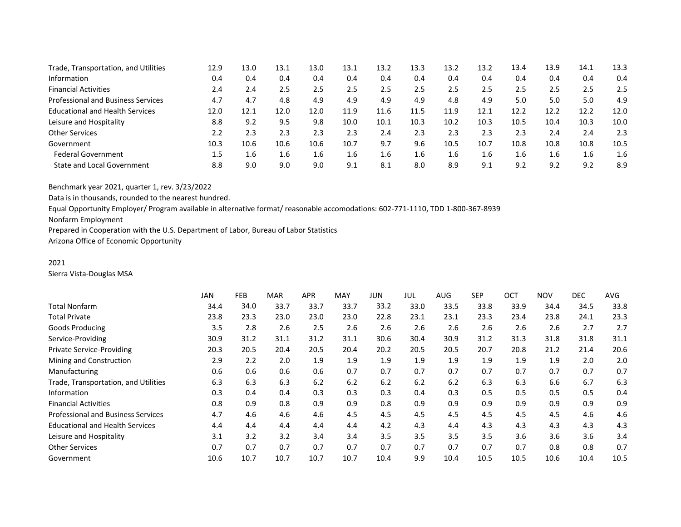| Trade, Transportation, and Utilities      | 12.9 | 13.0 | 13.1 | 13.0 | 13.1 | 13.2 | 13.3 | 13.2 | 13.2 | 13.4 | 13.9 | 14.1 | 13.3 |
|-------------------------------------------|------|------|------|------|------|------|------|------|------|------|------|------|------|
| Information                               | 0.4  | 0.4  | 0.4  | 0.4  | 0.4  | 0.4  | 0.4  | 0.4  | 0.4  | 0.4  | 0.4  | 0.4  | 0.4  |
| <b>Financial Activities</b>               | 2.4  | 2.4  | 2.5  | 2.5  | 2.5  | 2.5  | 2.5  | 2.5  | 2.5  | 2.5  | 2.5  | 2.5  | 2.5  |
| <b>Professional and Business Services</b> | 4.7  | 4.7  | 4.8  | 4.9  | 4.9  | 4.9  | 4.9  | 4.8  | 4.9  | 5.0  | 5.0  | 5.0  | 4.9  |
| <b>Educational and Health Services</b>    | 12.0 | 12.1 | 12.0 | 12.0 | 11.9 | 11.6 | 11.5 | 11.9 | 12.1 | 12.2 | 12.2 | 12.2 | 12.0 |
| Leisure and Hospitality                   | 8.8  | 9.2  | 9.5  | 9.8  | 10.0 | 10.1 | 10.3 | 10.2 | 10.3 | 10.5 | 10.4 | 10.3 | 10.0 |
| <b>Other Services</b>                     | 2.2  | 2.3  | 2.3  | 2.3  | 2.3  | 2.4  | 2.3  | 2.3  | 2.3  | 2.3  | 2.4  | 2.4  | 2.3  |
| Government                                | 10.3 | 10.6 | 10.6 | 10.6 | 10.7 | 9.7  | 9.6  | 10.5 | 10.7 | 10.8 | 10.8 | 10.8 | 10.5 |
| <b>Federal Government</b>                 | 1.5  | 1.6  | 1.6  | 1.6  | 1.6  | 1.6  | 1.6  | 1.6  | 1.6  | 1.6  | 1.6  | 1.6  | 1.6  |
| <b>State and Local Government</b>         | 8.8  | 9.0  | 9.0  | 9.0  | 9.1  | 8.1  | 8.0  | 8.9  | 9.1  | 9.2  | 9.2  | 9.2  | 8.9  |

Data is in thousands, rounded to the nearest hundred.

Equal Opportunity Employer/ Program available in alternative format/ reasonable accomodations: 602-771-1110, TDD 1-800-367-8939

Nonfarm Employment

Prepared in Cooperation with the U.S. Department of Labor, Bureau of Labor Statistics

Arizona Office of Economic Opportunity

# 2021

Sierra Vista-Douglas MSA

|                                           | JAN  | FEB  | <b>MAR</b> | <b>APR</b> | <b>MAY</b> | <b>JUN</b> | JUL  | <b>AUG</b> | <b>SEP</b> | OCT  | <b>NOV</b> | DEC. | AVG. |
|-------------------------------------------|------|------|------------|------------|------------|------------|------|------------|------------|------|------------|------|------|
| Total Nonfarm                             | 34.4 | 34.0 | 33.7       | 33.7       | 33.7       | 33.2       | 33.0 | 33.5       | 33.8       | 33.9 | 34.4       | 34.5 | 33.8 |
| <b>Total Private</b>                      | 23.8 | 23.3 | 23.0       | 23.0       | 23.0       | 22.8       | 23.1 | 23.1       | 23.3       | 23.4 | 23.8       | 24.1 | 23.3 |
| <b>Goods Producing</b>                    | 3.5  | 2.8  | 2.6        | 2.5        | 2.6        | 2.6        | 2.6  | 2.6        | 2.6        | 2.6  | 2.6        | 2.7  | 2.7  |
| Service-Providing                         | 30.9 | 31.2 | 31.1       | 31.2       | 31.1       | 30.6       | 30.4 | 30.9       | 31.2       | 31.3 | 31.8       | 31.8 | 31.1 |
| <b>Private Service-Providing</b>          | 20.3 | 20.5 | 20.4       | 20.5       | 20.4       | 20.2       | 20.5 | 20.5       | 20.7       | 20.8 | 21.2       | 21.4 | 20.6 |
| Mining and Construction                   | 2.9  | 2.2  | 2.0        | 1.9        | 1.9        | 1.9        | 1.9  | 1.9        | 1.9        | 1.9  | 1.9        | 2.0  | 2.0  |
| Manufacturing                             | 0.6  | 0.6  | 0.6        | 0.6        | 0.7        | 0.7        | 0.7  | 0.7        | 0.7        | 0.7  | 0.7        | 0.7  | 0.7  |
| Trade, Transportation, and Utilities      | 6.3  | 6.3  | 6.3        | 6.2        | 6.2        | 6.2        | 6.2  | 6.2        | 6.3        | 6.3  | 6.6        | 6.7  | 6.3  |
| Information                               | 0.3  | 0.4  | 0.4        | 0.3        | 0.3        | 0.3        | 0.4  | 0.3        | 0.5        | 0.5  | 0.5        | 0.5  | 0.4  |
| <b>Financial Activities</b>               | 0.8  | 0.9  | 0.8        | 0.9        | 0.9        | 0.8        | 0.9  | 0.9        | 0.9        | 0.9  | 0.9        | 0.9  | 0.9  |
| <b>Professional and Business Services</b> | 4.7  | 4.6  | 4.6        | 4.6        | 4.5        | 4.5        | 4.5  | 4.5        | 4.5        | 4.5  | 4.5        | 4.6  | 4.6  |
| <b>Educational and Health Services</b>    | 4.4  | 4.4  | 4.4        | 4.4        | 4.4        | 4.2        | 4.3  | 4.4        | 4.3        | 4.3  | 4.3        | 4.3  | 4.3  |
| Leisure and Hospitality                   | 3.1  | 3.2  | 3.2        | 3.4        | 3.4        | 3.5        | 3.5  | 3.5        | 3.5        | 3.6  | 3.6        | 3.6  | 3.4  |
| <b>Other Services</b>                     | 0.7  | 0.7  | 0.7        | 0.7        | 0.7        | 0.7        | 0.7  | 0.7        | 0.7        | 0.7  | 0.8        | 0.8  | 0.7  |
| Government                                | 10.6 | 10.7 | 10.7       | 10.7       | 10.7       | 10.4       | 9.9  | 10.4       | 10.5       | 10.5 | 10.6       | 10.4 | 10.5 |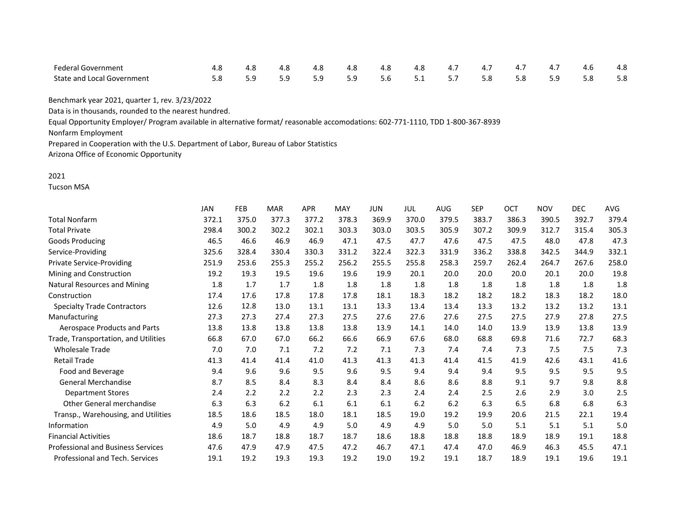| <b>Federal Government</b>         |     | 4.8 | 4.8 | 4.8 | 4.8 | 4.8                               | 4.7 4.7 4.7 | 4.7 | 4.6 | 4.8 |
|-----------------------------------|-----|-----|-----|-----|-----|-----------------------------------|-------------|-----|-----|-----|
| <b>State and Local Government</b> | 5.9 |     |     |     |     | 5.9 5.9 5.9 5.6 5.1 5.7 5.8 5.8 5 |             | 5.9 | 5.8 | 5.8 |

Data is in thousands, rounded to the nearest hundred.

Equal Opportunity Employer/ Program available in alternative format/ reasonable accomodations: 602-771-1110, TDD 1-800-367-8939

Nonfarm Employment

Prepared in Cooperation with the U.S. Department of Labor, Bureau of Labor Statistics

Arizona Office of Economic Opportunity

#### 2021

Tucson MSA

|                                           | <b>JAN</b> | FEB   | <b>MAR</b> | <b>APR</b> | <b>MAY</b> | <b>JUN</b> | JUL   | AUG   | <b>SEP</b> | OCT   | <b>NOV</b> | <b>DEC</b> | AVG   |
|-------------------------------------------|------------|-------|------------|------------|------------|------------|-------|-------|------------|-------|------------|------------|-------|
| <b>Total Nonfarm</b>                      | 372.1      | 375.0 | 377.3      | 377.2      | 378.3      | 369.9      | 370.0 | 379.5 | 383.7      | 386.3 | 390.5      | 392.7      | 379.4 |
| <b>Total Private</b>                      | 298.4      | 300.2 | 302.2      | 302.1      | 303.3      | 303.0      | 303.5 | 305.9 | 307.2      | 309.9 | 312.7      | 315.4      | 305.3 |
| Goods Producing                           | 46.5       | 46.6  | 46.9       | 46.9       | 47.1       | 47.5       | 47.7  | 47.6  | 47.5       | 47.5  | 48.0       | 47.8       | 47.3  |
| Service-Providing                         | 325.6      | 328.4 | 330.4      | 330.3      | 331.2      | 322.4      | 322.3 | 331.9 | 336.2      | 338.8 | 342.5      | 344.9      | 332.1 |
| <b>Private Service-Providing</b>          | 251.9      | 253.6 | 255.3      | 255.2      | 256.2      | 255.5      | 255.8 | 258.3 | 259.7      | 262.4 | 264.7      | 267.6      | 258.0 |
| Mining and Construction                   | 19.2       | 19.3  | 19.5       | 19.6       | 19.6       | 19.9       | 20.1  | 20.0  | 20.0       | 20.0  | 20.1       | 20.0       | 19.8  |
| Natural Resources and Mining              | 1.8        | 1.7   | 1.7        | 1.8        | 1.8        | 1.8        | 1.8   | 1.8   | 1.8        | 1.8   | 1.8        | 1.8        | 1.8   |
| Construction                              | 17.4       | 17.6  | 17.8       | 17.8       | 17.8       | 18.1       | 18.3  | 18.2  | 18.2       | 18.2  | 18.3       | 18.2       | 18.0  |
| <b>Specialty Trade Contractors</b>        | 12.6       | 12.8  | 13.0       | 13.1       | 13.1       | 13.3       | 13.4  | 13.4  | 13.3       | 13.2  | 13.2       | 13.2       | 13.1  |
| Manufacturing                             | 27.3       | 27.3  | 27.4       | 27.3       | 27.5       | 27.6       | 27.6  | 27.6  | 27.5       | 27.5  | 27.9       | 27.8       | 27.5  |
| Aerospace Products and Parts              | 13.8       | 13.8  | 13.8       | 13.8       | 13.8       | 13.9       | 14.1  | 14.0  | 14.0       | 13.9  | 13.9       | 13.8       | 13.9  |
| Trade, Transportation, and Utilities      | 66.8       | 67.0  | 67.0       | 66.2       | 66.6       | 66.9       | 67.6  | 68.0  | 68.8       | 69.8  | 71.6       | 72.7       | 68.3  |
| <b>Wholesale Trade</b>                    | 7.0        | 7.0   | 7.1        | 7.2        | 7.2        | 7.1        | 7.3   | 7.4   | 7.4        | 7.3   | 7.5        | 7.5        | 7.3   |
| Retail Trade                              | 41.3       | 41.4  | 41.4       | 41.0       | 41.3       | 41.3       | 41.3  | 41.4  | 41.5       | 41.9  | 42.6       | 43.1       | 41.6  |
| Food and Beverage                         | 9.4        | 9.6   | 9.6        | 9.5        | 9.6        | 9.5        | 9.4   | 9.4   | 9.4        | 9.5   | 9.5        | 9.5        | 9.5   |
| <b>General Merchandise</b>                | 8.7        | 8.5   | 8.4        | 8.3        | 8.4        | 8.4        | 8.6   | 8.6   | 8.8        | 9.1   | 9.7        | 9.8        | 8.8   |
| <b>Department Stores</b>                  | 2.4        | 2.2   | 2.2        | 2.2        | 2.3        | 2.3        | 2.4   | 2.4   | 2.5        | 2.6   | 2.9        | 3.0        | 2.5   |
| <b>Other General merchandise</b>          | 6.3        | 6.3   | 6.2        | 6.1        | 6.1        | 6.1        | 6.2   | 6.2   | 6.3        | 6.5   | 6.8        | 6.8        | 6.3   |
| Transp., Warehousing, and Utilities       | 18.5       | 18.6  | 18.5       | 18.0       | 18.1       | 18.5       | 19.0  | 19.2  | 19.9       | 20.6  | 21.5       | 22.1       | 19.4  |
| Information                               | 4.9        | 5.0   | 4.9        | 4.9        | 5.0        | 4.9        | 4.9   | 5.0   | 5.0        | 5.1   | 5.1        | 5.1        | 5.0   |
| <b>Financial Activities</b>               | 18.6       | 18.7  | 18.8       | 18.7       | 18.7       | 18.6       | 18.8  | 18.8  | 18.8       | 18.9  | 18.9       | 19.1       | 18.8  |
| <b>Professional and Business Services</b> | 47.6       | 47.9  | 47.9       | 47.5       | 47.2       | 46.7       | 47.1  | 47.4  | 47.0       | 46.9  | 46.3       | 45.5       | 47.1  |
| Professional and Tech. Services           | 19.1       | 19.2  | 19.3       | 19.3       | 19.2       | 19.0       | 19.2  | 19.1  | 18.7       | 18.9  | 19.1       | 19.6       | 19.1  |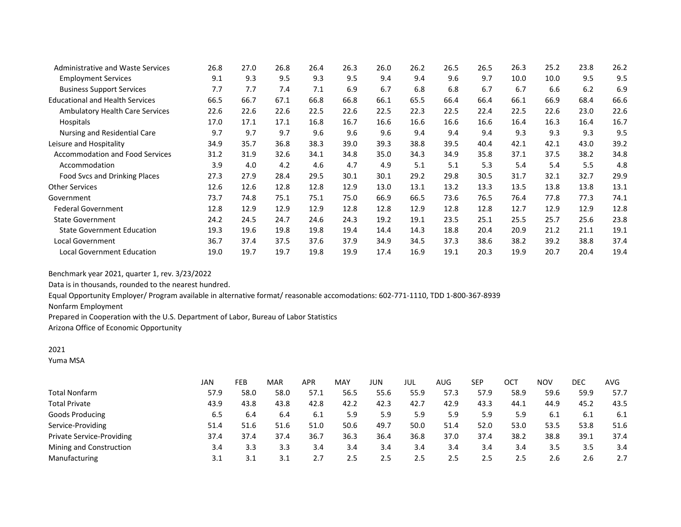| <b>Administrative and Waste Services</b> | 26.8 | 27.0 | 26.8 | 26.4 | 26.3 | 26.0 | 26.2 | 26.5 | 26.5 | 26.3 | 25.2 | 23.8 | 26.2 |
|------------------------------------------|------|------|------|------|------|------|------|------|------|------|------|------|------|
| <b>Employment Services</b>               | 9.1  | 9.3  | 9.5  | 9.3  | 9.5  | 9.4  | 9.4  | 9.6  | 9.7  | 10.0 | 10.0 | 9.5  | 9.5  |
| <b>Business Support Services</b>         | 7.7  | 7.7  | 7.4  | 7.1  | 6.9  | 6.7  | 6.8  | 6.8  | 6.7  | 6.7  | 6.6  | 6.2  | 6.9  |
| <b>Educational and Health Services</b>   | 66.5 | 66.7 | 67.1 | 66.8 | 66.8 | 66.1 | 65.5 | 66.4 | 66.4 | 66.1 | 66.9 | 68.4 | 66.6 |
| Ambulatory Health Care Services          | 22.6 | 22.6 | 22.6 | 22.5 | 22.6 | 22.5 | 22.3 | 22.5 | 22.4 | 22.5 | 22.6 | 23.0 | 22.6 |
| Hospitals                                | 17.0 | 17.1 | 17.1 | 16.8 | 16.7 | 16.6 | 16.6 | 16.6 | 16.6 | 16.4 | 16.3 | 16.4 | 16.7 |
| Nursing and Residential Care             | 9.7  | 9.7  | 9.7  | 9.6  | 9.6  | 9.6  | 9.4  | 9.4  | 9.4  | 9.3  | 9.3  | 9.3  | 9.5  |
| Leisure and Hospitality                  | 34.9 | 35.7 | 36.8 | 38.3 | 39.0 | 39.3 | 38.8 | 39.5 | 40.4 | 42.1 | 42.1 | 43.0 | 39.2 |
| <b>Accommodation and Food Services</b>   | 31.2 | 31.9 | 32.6 | 34.1 | 34.8 | 35.0 | 34.3 | 34.9 | 35.8 | 37.1 | 37.5 | 38.2 | 34.8 |
| Accommodation                            | 3.9  | 4.0  | 4.2  | 4.6  | 4.7  | 4.9  | 5.1  | 5.1  | 5.3  | 5.4  | 5.4  | 5.5  | 4.8  |
| Food Svcs and Drinking Places            | 27.3 | 27.9 | 28.4 | 29.5 | 30.1 | 30.1 | 29.2 | 29.8 | 30.5 | 31.7 | 32.1 | 32.7 | 29.9 |
| <b>Other Services</b>                    | 12.6 | 12.6 | 12.8 | 12.8 | 12.9 | 13.0 | 13.1 | 13.2 | 13.3 | 13.5 | 13.8 | 13.8 | 13.1 |
| Government                               | 73.7 | 74.8 | 75.1 | 75.1 | 75.0 | 66.9 | 66.5 | 73.6 | 76.5 | 76.4 | 77.8 | 77.3 | 74.1 |
| <b>Federal Government</b>                | 12.8 | 12.9 | 12.9 | 12.9 | 12.8 | 12.8 | 12.9 | 12.8 | 12.8 | 12.7 | 12.9 | 12.9 | 12.8 |
| <b>State Government</b>                  | 24.2 | 24.5 | 24.7 | 24.6 | 24.3 | 19.2 | 19.1 | 23.5 | 25.1 | 25.5 | 25.7 | 25.6 | 23.8 |
| <b>State Government Education</b>        | 19.3 | 19.6 | 19.8 | 19.8 | 19.4 | 14.4 | 14.3 | 18.8 | 20.4 | 20.9 | 21.2 | 21.1 | 19.1 |
| <b>Local Government</b>                  | 36.7 | 37.4 | 37.5 | 37.6 | 37.9 | 34.9 | 34.5 | 37.3 | 38.6 | 38.2 | 39.2 | 38.8 | 37.4 |
| <b>Local Government Education</b>        | 19.0 | 19.7 | 19.7 | 19.8 | 19.9 | 17.4 | 16.9 | 19.1 | 20.3 | 19.9 | 20.7 | 20.4 | 19.4 |

Data is in thousands, rounded to the nearest hundred.

Equal Opportunity Employer/ Program available in alternative format/ reasonable accomodations: 602-771-1110, TDD 1-800-367-8939

Nonfarm Employment

Prepared in Cooperation with the U.S. Department of Labor, Bureau of Labor Statistics

Arizona Office of Economic Opportunity

## 2021

Yuma MSA

|                           | JAN  | FEB  | <b>MAR</b> | <b>APR</b> | MAY  | JUN  | JUL  | AUG  | SEP  | OCT  | <b>NOV</b> | DEC  | AVG  |
|---------------------------|------|------|------------|------------|------|------|------|------|------|------|------------|------|------|
| Total Nonfarm             | 57.9 | 58.0 | 58.0       | 57.1       | 56.5 | 55.6 | 55.9 | 57.3 | 57.9 | 58.9 | 59.6       | 59.9 | 57.7 |
| <b>Total Private</b>      | 43.9 | 43.8 | 43.8       | 42.8       | 42.2 | 42.3 | 42.7 | 42.9 | 43.3 | 44.1 | 44.9       | 45.2 | 43.5 |
| Goods Producing           | 6.5  | 6.4  | 6.4        | 6.1        | 5.9  | 5.9  | 5.9  | 5.9  | 5.9  | 5.9  | 6.1        | 6.1  | 6.1  |
| Service-Providing         | 51.4 | 51.6 | 51.6       | 51.0       | 50.6 | 49.7 | 50.0 | 51.4 | 52.0 | 53.0 | 53.5       | 53.8 | 51.6 |
| Private Service-Providing | 37.4 | 37.4 | 37.4       | 36.7       | 36.3 | 36.4 | 36.8 | 37.0 | 37.4 | 38.2 | 38.8       | 39.1 | 37.4 |
| Mining and Construction   | 3.4  | 3.3  | 3.3        | 3.4        | 3.4  | 3.4  | 3.4  | 3.4  | 3.4  | 3.4  | 3.5        | 3.5  | 3.4  |
| Manufacturing             | 3.1  | 3.1  | 3.1        |            | 2.5  | 2.5  | 2.5  | 2.5  | 2.5  | 2.5  | 2.6        | 2.6  | 2.7  |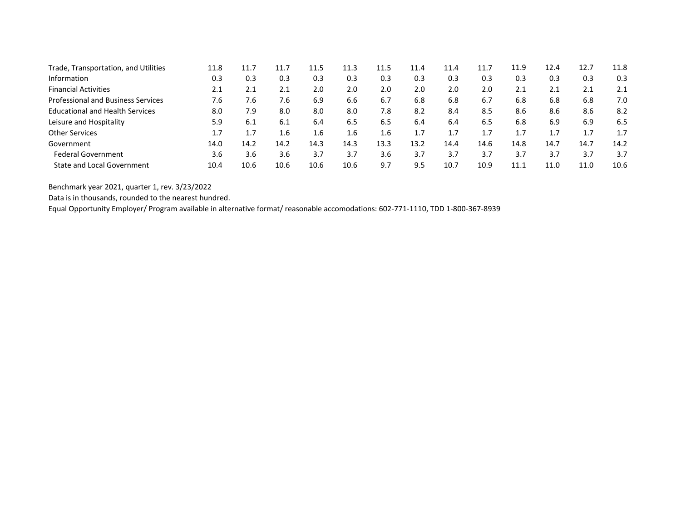| Trade, Transportation, and Utilities      | 11.8 | 11.7 | 11.7 | 11.5 | 11.3 | 11.5 | 11.4 | 11.4 | 11.7 | 11.9 | 12.4 | 12.7 | 11.8 |
|-------------------------------------------|------|------|------|------|------|------|------|------|------|------|------|------|------|
| Information                               | 0.3  | 0.3  | 0.3  | 0.3  | 0.3  | 0.3  | 0.3  | 0.3  | 0.3  | 0.3  | 0.3  | 0.3  | 0.3  |
| <b>Financial Activities</b>               | 2.1  | 2.1  | 2.1  | 2.0  | 2.0  | 2.0  | 2.0  | 2.0  | 2.0  | 2.1  | 2.1  | 2.1  | 2.1  |
| <b>Professional and Business Services</b> | 7.6  | 7.6  | 7.6  | 6.9  | 6.6  | 6.7  | 6.8  | 6.8  | 6.7  | 6.8  | 6.8  | 6.8  | 7.0  |
| <b>Educational and Health Services</b>    | 8.0  | 7.9  | 8.0  | 8.0  | 8.0  | 7.8  | 8.2  | 8.4  | 8.5  | 8.6  | 8.6  | 8.6  | 8.2  |
| Leisure and Hospitality                   | 5.9  | 6.1  | 6.1  | 6.4  | 6.5  | 6.5  | 6.4  | 6.4  | 6.5  | 6.8  | 6.9  | 6.9  | 6.5  |
| <b>Other Services</b>                     | 1.7  | 1.7  | 1.6  | 1.6  | 1.6  | 1.6  | 1.7  | 1.7  | 1.7  |      |      | 1.7  | 1.7  |
| Government                                | 14.0 | 14.2 | 14.2 | 14.3 | 14.3 | 13.3 | 13.2 | 14.4 | 14.6 | 14.8 | 14.7 | 14.7 | 14.2 |
| <b>Federal Government</b>                 | 3.6  | 3.6  | 3.6  | 3.7  | 3.7  | 3.6  | 3.7  | 3.7  | 3.7  | 3.7  | 3.7  | 3.7  | 3.7  |
| <b>State and Local Government</b>         | 10.4 | 10.6 | 10.6 | 10.6 | 10.6 | 9.7  | 9.5  | 10.7 | 10.9 | 11.1 | 11.0 | 11.0 | 10.6 |

Data is in thousands, rounded to the nearest hundred.

Equal Opportunity Employer/ Program available in alternative format/ reasonable accomodations: 602-771-1110, TDD 1-800-367-8939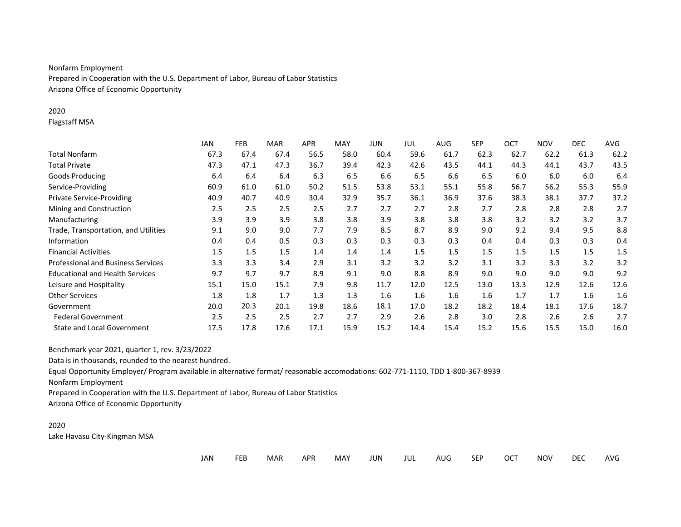# Nonfarm Employment

Prepared in Cooperation with the U.S. Department of Labor, Bureau of Labor Statistics Arizona Office of Economic Opportunity

### 2020

Flagstaff MSA

|                                           | <b>JAN</b> | FEB  | MAR  | <b>APR</b> | MAY  | JUN  | JUL  | <b>AUG</b> | <b>SEP</b> | OCT  | <b>NOV</b> | <b>DEC</b> | AVG  |
|-------------------------------------------|------------|------|------|------------|------|------|------|------------|------------|------|------------|------------|------|
| <b>Total Nonfarm</b>                      | 67.3       | 67.4 | 67.4 | 56.5       | 58.0 | 60.4 | 59.6 | 61.7       | 62.3       | 62.7 | 62.2       | 61.3       | 62.2 |
| <b>Total Private</b>                      | 47.3       | 47.1 | 47.3 | 36.7       | 39.4 | 42.3 | 42.6 | 43.5       | 44.1       | 44.3 | 44.1       | 43.7       | 43.5 |
| <b>Goods Producing</b>                    | 6.4        | 6.4  | 6.4  | 6.3        | 6.5  | 6.6  | 6.5  | 6.6        | 6.5        | 6.0  | 6.0        | 6.0        | 6.4  |
| Service-Providing                         | 60.9       | 61.0 | 61.0 | 50.2       | 51.5 | 53.8 | 53.1 | 55.1       | 55.8       | 56.7 | 56.2       | 55.3       | 55.9 |
| <b>Private Service-Providing</b>          | 40.9       | 40.7 | 40.9 | 30.4       | 32.9 | 35.7 | 36.1 | 36.9       | 37.6       | 38.3 | 38.1       | 37.7       | 37.2 |
| Mining and Construction                   | 2.5        | 2.5  | 2.5  | 2.5        | 2.7  | 2.7  | 2.7  | 2.8        | 2.7        | 2.8  | 2.8        | 2.8        | 2.7  |
| Manufacturing                             | 3.9        | 3.9  | 3.9  | 3.8        | 3.8  | 3.9  | 3.8  | 3.8        | 3.8        | 3.2  | 3.2        | 3.2        | 3.7  |
| Trade, Transportation, and Utilities      | 9.1        | 9.0  | 9.0  | 7.7        | 7.9  | 8.5  | 8.7  | 8.9        | 9.0        | 9.2  | 9.4        | 9.5        | 8.8  |
| Information                               | 0.4        | 0.4  | 0.5  | 0.3        | 0.3  | 0.3  | 0.3  | 0.3        | 0.4        | 0.4  | 0.3        | 0.3        | 0.4  |
| <b>Financial Activities</b>               | 1.5        | 1.5  | 1.5  | 1.4        | 1.4  | 1.4  | 1.5  | 1.5        | 1.5        | 1.5  | 1.5        | 1.5        | 1.5  |
| <b>Professional and Business Services</b> | 3.3        | 3.3  | 3.4  | 2.9        | 3.1  | 3.2  | 3.2  | 3.2        | 3.1        | 3.2  | 3.3        | 3.2        | 3.2  |
| <b>Educational and Health Services</b>    | 9.7        | 9.7  | 9.7  | 8.9        | 9.1  | 9.0  | 8.8  | 8.9        | 9.0        | 9.0  | 9.0        | 9.0        | 9.2  |
| Leisure and Hospitality                   | 15.1       | 15.0 | 15.1 | 7.9        | 9.8  | 11.7 | 12.0 | 12.5       | 13.0       | 13.3 | 12.9       | 12.6       | 12.6 |
| <b>Other Services</b>                     | 1.8        | 1.8  | 1.7  | 1.3        | 1.3  | 1.6  | 1.6  | 1.6        | 1.6        | 1.7  | 1.7        | 1.6        | 1.6  |
| Government                                | 20.0       | 20.3 | 20.1 | 19.8       | 18.6 | 18.1 | 17.0 | 18.2       | 18.2       | 18.4 | 18.1       | 17.6       | 18.7 |
| <b>Federal Government</b>                 | 2.5        | 2.5  | 2.5  | 2.7        | 2.7  | 2.9  | 2.6  | 2.8        | 3.0        | 2.8  | 2.6        | 2.6        | 2.7  |
| <b>State and Local Government</b>         | 17.5       | 17.8 | 17.6 | 17.1       | 15.9 | 15.2 | 14.4 | 15.4       | 15.2       | 15.6 | 15.5       | 15.0       | 16.0 |

Benchmark year 2021, quarter 1, rev. 3/23/2022

Data is in thousands, rounded to the nearest hundred.

Equal Opportunity Employer/ Program available in alternative format/ reasonable accomodations: 602-771-1110, TDD 1-800-367-8939

Nonfarm Employment

Prepared in Cooperation with the U.S. Department of Labor, Bureau of Labor Statistics

Arizona Office of Economic Opportunity

#### 2020 Lake Havasu City-Kingman MSA

| <b>NOV</b><br><b>SEP</b><br><b>DEC</b><br>JAN<br><b>FEB</b><br>JUN<br>JUL<br><b>MAY</b><br><b>OCT</b><br><b>APR</b><br>AUG.<br>MAR<br>$\sim$ | AVG |
|----------------------------------------------------------------------------------------------------------------------------------------------|-----|
|----------------------------------------------------------------------------------------------------------------------------------------------|-----|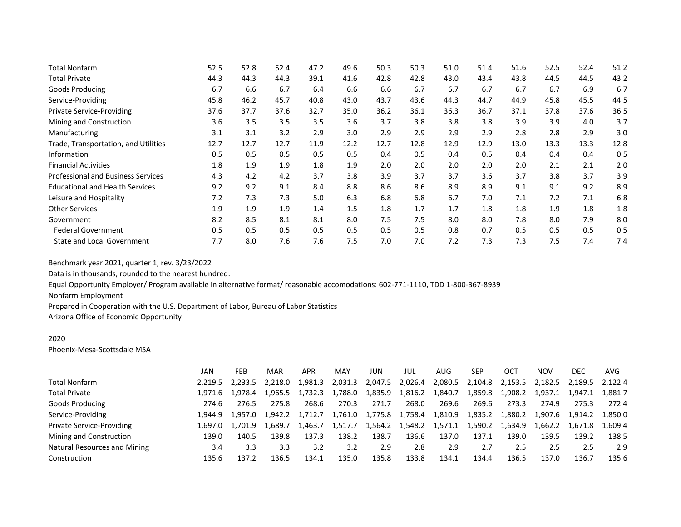| Total Nonfarm                             | 52.5 | 52.8 | 52.4 | 47.2 | 49.6 | 50.3 | 50.3 | 51.0 | 51.4 | 51.6 | 52.5 | 52.4 | 51.2 |
|-------------------------------------------|------|------|------|------|------|------|------|------|------|------|------|------|------|
| <b>Total Private</b>                      | 44.3 | 44.3 | 44.3 | 39.1 | 41.6 | 42.8 | 42.8 | 43.0 | 43.4 | 43.8 | 44.5 | 44.5 | 43.2 |
| Goods Producing                           | 6.7  | 6.6  | 6.7  | 6.4  | 6.6  | 6.6  | 6.7  | 6.7  | 6.7  | 6.7  | 6.7  | 6.9  | 6.7  |
| Service-Providing                         | 45.8 | 46.2 | 45.7 | 40.8 | 43.0 | 43.7 | 43.6 | 44.3 | 44.7 | 44.9 | 45.8 | 45.5 | 44.5 |
| <b>Private Service-Providing</b>          | 37.6 | 37.7 | 37.6 | 32.7 | 35.0 | 36.2 | 36.1 | 36.3 | 36.7 | 37.1 | 37.8 | 37.6 | 36.5 |
| Mining and Construction                   | 3.6  | 3.5  | 3.5  | 3.5  | 3.6  | 3.7  | 3.8  | 3.8  | 3.8  | 3.9  | 3.9  | 4.0  | 3.7  |
| Manufacturing                             | 3.1  | 3.1  | 3.2  | 2.9  | 3.0  | 2.9  | 2.9  | 2.9  | 2.9  | 2.8  | 2.8  | 2.9  | 3.0  |
| Trade, Transportation, and Utilities      | 12.7 | 12.7 | 12.7 | 11.9 | 12.2 | 12.7 | 12.8 | 12.9 | 12.9 | 13.0 | 13.3 | 13.3 | 12.8 |
| Information                               | 0.5  | 0.5  | 0.5  | 0.5  | 0.5  | 0.4  | 0.5  | 0.4  | 0.5  | 0.4  | 0.4  | 0.4  | 0.5  |
| <b>Financial Activities</b>               | 1.8  | 1.9  | 1.9  | 1.8  | 1.9  | 2.0  | 2.0  | 2.0  | 2.0  | 2.0  | 2.1  | 2.1  | 2.0  |
| <b>Professional and Business Services</b> | 4.3  | 4.2  | 4.2  | 3.7  | 3.8  | 3.9  | 3.7  | 3.7  | 3.6  | 3.7  | 3.8  | 3.7  | 3.9  |
| <b>Educational and Health Services</b>    | 9.2  | 9.2  | 9.1  | 8.4  | 8.8  | 8.6  | 8.6  | 8.9  | 8.9  | 9.1  | 9.1  | 9.2  | 8.9  |
| Leisure and Hospitality                   | 7.2  | 7.3  | 7.3  | 5.0  | 6.3  | 6.8  | 6.8  | 6.7  | 7.0  | 7.1  | 7.2  | 7.1  | 6.8  |
| <b>Other Services</b>                     | 1.9  | 1.9  | 1.9  | 1.4  | 1.5  | 1.8  | 1.7  | 1.7  | 1.8  | 1.8  | 1.9  | 1.8  | 1.8  |
| Government                                | 8.2  | 8.5  | 8.1  | 8.1  | 8.0  | 7.5  | 7.5  | 8.0  | 8.0  | 7.8  | 8.0  | 7.9  | 8.0  |
| <b>Federal Government</b>                 | 0.5  | 0.5  | 0.5  | 0.5  | 0.5  | 0.5  | 0.5  | 0.8  | 0.7  | 0.5  | 0.5  | 0.5  | 0.5  |
| <b>State and Local Government</b>         | 7.7  | 8.0  | 7.6  | 7.6  | 7.5  | 7.0  | 7.0  | 7.2  | 7.3  | 7.3  | 7.5  | 7.4  | 7.4  |

Data is in thousands, rounded to the nearest hundred.

Equal Opportunity Employer/ Program available in alternative format/ reasonable accomodations: 602-771-1110, TDD 1-800-367-8939

Nonfarm Employment

Prepared in Cooperation with the U.S. Department of Labor, Bureau of Labor Statistics

Arizona Office of Economic Opportunity

#### 2020

Phoenix-Mesa-Scottsdale MSA

|                                  | JAN     | FEB             | MAR     | APR     | <b>MAY</b> | JUN     | JUL                     | AUG     | SEP     | OCT     | <b>NOV</b> | DEC             | AVG     |
|----------------------------------|---------|-----------------|---------|---------|------------|---------|-------------------------|---------|---------|---------|------------|-----------------|---------|
| Total Nonfarm                    |         | 2.219.5 2.233.5 | 2.218.0 | 981.3   | 2,031.3    | 2,047.5 | 2,026.4                 | 2,080.5 | 2,104.8 | 2,153.5 | 2,182.5    | 2.189.5 2.122.4 |         |
| <b>Total Private</b>             |         | 1.971.6 1.978.4 | 1.965.5 | 1.732.3 | 1.788.0    | 1,835.9 | 1,816.2                 | 1,840.7 | 1,859.8 | 1,908.2 | 1,937.1    | 1.947.1         | 1,881.7 |
| <b>Goods Producing</b>           | 274.6   | 276.5           | 275.8   | 268.6   | 270.3      | 271.7   | 268.0                   | 269.6   | 269.6   | 273.3   | 274.9      | 275.3           | 272.4   |
| Service-Providing                | 1.944.9 | 1.957.0         | 1.942.2 | 1.712.7 | 1.761.0    | 1,775.8 | 1,758.4                 | 1,810.9 | 1,835.2 | 1,880.2 | 1,907.6    | 1,914.2 1,850.0 |         |
| <b>Private Service-Providing</b> | L.697.0 | 1.701.9         | 1.689.7 | 1.463.7 | 1.517.7    |         | 1,564.2 1,548.2 1,571.1 |         | 1,590.2 | 1,634.9 | 1.662.2    | 1.671.8         | 1.609.4 |
| Mining and Construction          | 139.0   | 140.5           | 139.8   | 137.3   | 138.2      | 138.7   | 136.6                   | 137.0   | 137.1   | 139.0   | 139.5      | 139.2           | 138.5   |
| Natural Resources and Mining     | 3.4     | 3.3             | 3.3     | 3.2     | 3.2        | 2.9     | 2.8                     | 2.9     | 2.7     | 2.5     | 2.5        | 2.5             | 2.9     |
| Construction                     | 135.6   | 137.2           | 136.5   | 134.1   | 135.0      | 135.8   | 133.8                   | 134.1   | 134.4   | 136.5   | 137.0      | 136.7           | 135.6   |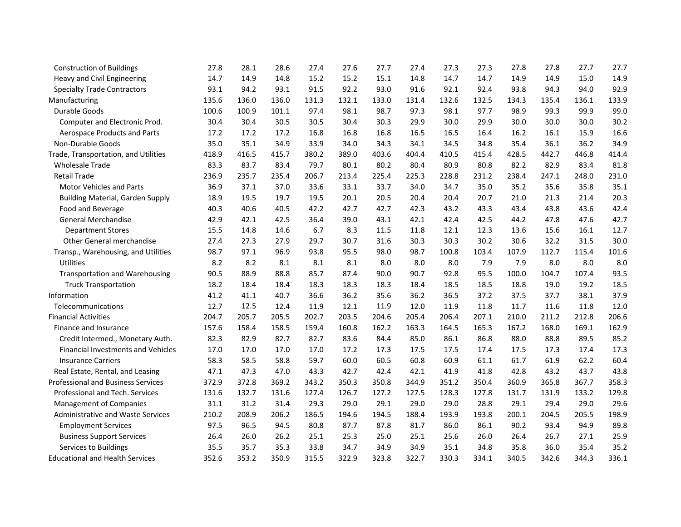| <b>Construction of Buildings</b>          | 27.8  | 28.1  | 28.6  | 27.4  | 27.6  | 27.7  | 27.4  | 27.3  | 27.3  | 27.8  | 27.8  | 27.7  | 27.7  |
|-------------------------------------------|-------|-------|-------|-------|-------|-------|-------|-------|-------|-------|-------|-------|-------|
| Heavy and Civil Engineering               | 14.7  | 14.9  | 14.8  | 15.2  | 15.2  | 15.1  | 14.8  | 14.7  | 14.7  | 14.9  | 14.9  | 15.0  | 14.9  |
| <b>Specialty Trade Contractors</b>        | 93.1  | 94.2  | 93.1  | 91.5  | 92.2  | 93.0  | 91.6  | 92.1  | 92.4  | 93.8  | 94.3  | 94.0  | 92.9  |
| Manufacturing                             | 135.6 | 136.0 | 136.0 | 131.3 | 132.1 | 133.0 | 131.4 | 132.6 | 132.5 | 134.3 | 135.4 | 136.1 | 133.9 |
| Durable Goods                             | 100.6 | 100.9 | 101.1 | 97.4  | 98.1  | 98.7  | 97.3  | 98.1  | 97.7  | 98.9  | 99.3  | 99.9  | 99.0  |
| Computer and Electronic Prod.             | 30.4  | 30.4  | 30.5  | 30.5  | 30.4  | 30.3  | 29.9  | 30.0  | 29.9  | 30.0  | 30.0  | 30.0  | 30.2  |
| Aerospace Products and Parts              | 17.2  | 17.2  | 17.2  | 16.8  | 16.8  | 16.8  | 16.5  | 16.5  | 16.4  | 16.2  | 16.1  | 15.9  | 16.6  |
| Non-Durable Goods                         | 35.0  | 35.1  | 34.9  | 33.9  | 34.0  | 34.3  | 34.1  | 34.5  | 34.8  | 35.4  | 36.1  | 36.2  | 34.9  |
| Trade, Transportation, and Utilities      | 418.9 | 416.5 | 415.7 | 380.2 | 389.0 | 403.6 | 404.4 | 410.5 | 415.4 | 428.5 | 442.7 | 446.8 | 414.4 |
| <b>Wholesale Trade</b>                    | 83.3  | 83.7  | 83.4  | 79.7  | 80.1  | 80.2  | 80.4  | 80.9  | 80.8  | 82.2  | 82.9  | 83.4  | 81.8  |
| <b>Retail Trade</b>                       | 236.9 | 235.7 | 235.4 | 206.7 | 213.4 | 225.4 | 225.3 | 228.8 | 231.2 | 238.4 | 247.1 | 248.0 | 231.0 |
| <b>Motor Vehicles and Parts</b>           | 36.9  | 37.1  | 37.0  | 33.6  | 33.1  | 33.7  | 34.0  | 34.7  | 35.0  | 35.2  | 35.6  | 35.8  | 35.1  |
| <b>Building Material, Garden Supply</b>   | 18.9  | 19.5  | 19.7  | 19.5  | 20.1  | 20.5  | 20.4  | 20.4  | 20.7  | 21.0  | 21.3  | 21.4  | 20.3  |
| Food and Beverage                         | 40.3  | 40.6  | 40.5  | 42.2  | 42.7  | 42.7  | 42.3  | 43.2  | 43.3  | 43.4  | 43.8  | 43.6  | 42.4  |
| <b>General Merchandise</b>                | 42.9  | 42.1  | 42.5  | 36.4  | 39.0  | 43.1  | 42.1  | 42.4  | 42.5  | 44.2  | 47.8  | 47.6  | 42.7  |
| <b>Department Stores</b>                  | 15.5  | 14.8  | 14.6  | 6.7   | 8.3   | 11.5  | 11.8  | 12.1  | 12.3  | 13.6  | 15.6  | 16.1  | 12.7  |
| Other General merchandise                 | 27.4  | 27.3  | 27.9  | 29.7  | 30.7  | 31.6  | 30.3  | 30.3  | 30.2  | 30.6  | 32.2  | 31.5  | 30.0  |
| Transp., Warehousing, and Utilities       | 98.7  | 97.1  | 96.9  | 93.8  | 95.5  | 98.0  | 98.7  | 100.8 | 103.4 | 107.9 | 112.7 | 115.4 | 101.6 |
| Utilities                                 | 8.2   | 8.2   | 8.1   | 8.1   | 8.1   | 8.0   | 8.0   | 8.0   | 7.9   | 7.9   | 8.0   | 8.0   | 8.0   |
| <b>Transportation and Warehousing</b>     | 90.5  | 88.9  | 88.8  | 85.7  | 87.4  | 90.0  | 90.7  | 92.8  | 95.5  | 100.0 | 104.7 | 107.4 | 93.5  |
| <b>Truck Transportation</b>               | 18.2  | 18.4  | 18.4  | 18.3  | 18.3  | 18.3  | 18.4  | 18.5  | 18.5  | 18.8  | 19.0  | 19.2  | 18.5  |
| Information                               | 41.2  | 41.1  | 40.7  | 36.6  | 36.2  | 35.6  | 36.2  | 36.5  | 37.2  | 37.5  | 37.7  | 38.1  | 37.9  |
| Telecommunications                        | 12.7  | 12.5  | 12.4  | 11.9  | 12.1  | 11.9  | 12.0  | 11.9  | 11.8  | 11.7  | 11.6  | 11.8  | 12.0  |
| <b>Financial Activities</b>               | 204.7 | 205.7 | 205.5 | 202.7 | 203.5 | 204.6 | 205.4 | 206.4 | 207.1 | 210.0 | 211.2 | 212.8 | 206.6 |
| Finance and Insurance                     | 157.6 | 158.4 | 158.5 | 159.4 | 160.8 | 162.2 | 163.3 | 164.5 | 165.3 | 167.2 | 168.0 | 169.1 | 162.9 |
| Credit Intermed., Monetary Auth.          | 82.3  | 82.9  | 82.7  | 82.7  | 83.6  | 84.4  | 85.0  | 86.1  | 86.8  | 88.0  | 88.8  | 89.5  | 85.2  |
| <b>Financial Investments and Vehicles</b> | 17.0  | 17.0  | 17.0  | 17.0  | 17.2  | 17.3  | 17.5  | 17.5  | 17.4  | 17.5  | 17.3  | 17.4  | 17.3  |
| <b>Insurance Carriers</b>                 | 58.3  | 58.5  | 58.8  | 59.7  | 60.0  | 60.5  | 60.8  | 60.9  | 61.1  | 61.7  | 61.9  | 62.2  | 60.4  |
| Real Estate, Rental, and Leasing          | 47.1  | 47.3  | 47.0  | 43.3  | 42.7  | 42.4  | 42.1  | 41.9  | 41.8  | 42.8  | 43.2  | 43.7  | 43.8  |
| <b>Professional and Business Services</b> | 372.9 | 372.8 | 369.2 | 343.2 | 350.3 | 350.8 | 344.9 | 351.2 | 350.4 | 360.9 | 365.8 | 367.7 | 358.3 |
| Professional and Tech. Services           | 131.6 | 132.7 | 131.6 | 127.4 | 126.7 | 127.2 | 127.5 | 128.3 | 127.8 | 131.7 | 131.9 | 133.2 | 129.8 |
| Management of Companies                   | 31.1  | 31.2  | 31.4  | 29.3  | 29.0  | 29.1  | 29.0  | 29.0  | 28.8  | 29.1  | 29.4  | 29.0  | 29.6  |
| <b>Administrative and Waste Services</b>  | 210.2 | 208.9 | 206.2 | 186.5 | 194.6 | 194.5 | 188.4 | 193.9 | 193.8 | 200.1 | 204.5 | 205.5 | 198.9 |
| <b>Employment Services</b>                | 97.5  | 96.5  | 94.5  | 80.8  | 87.7  | 87.8  | 81.7  | 86.0  | 86.1  | 90.2  | 93.4  | 94.9  | 89.8  |
| <b>Business Support Services</b>          | 26.4  | 26.0  | 26.2  | 25.1  | 25.3  | 25.0  | 25.1  | 25.6  | 26.0  | 26.4  | 26.7  | 27.1  | 25.9  |
| Services to Buildings                     | 35.5  | 35.7  | 35.3  | 33.8  | 34.7  | 34.9  | 34.9  | 35.1  | 34.8  | 35.8  | 36.0  | 35.4  | 35.2  |
| <b>Educational and Health Services</b>    | 352.6 | 353.2 | 350.9 | 315.5 | 322.9 | 323.8 | 322.7 | 330.3 | 334.1 | 340.5 | 342.6 | 344.3 | 336.1 |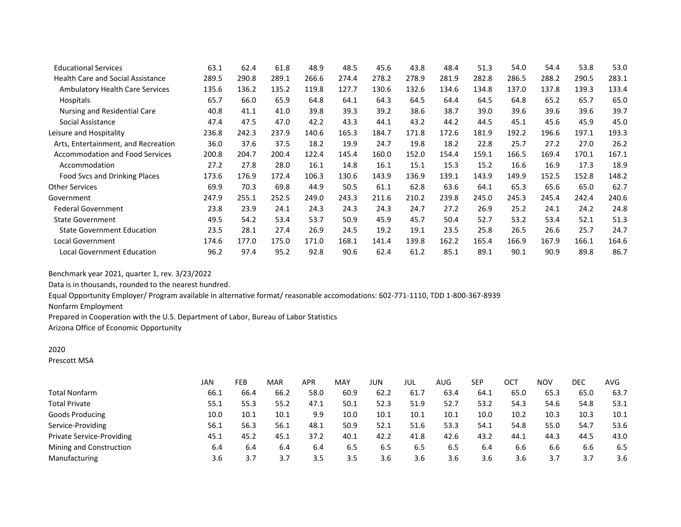| <b>Educational Services</b>              | 63.1  | 62.4  | 61.8  | 48.9  | 48.5  | 45.6  | 43.8  | 48.4  | 51.3  | 54.0  | 54.4  | 53.8  | 53.0  |
|------------------------------------------|-------|-------|-------|-------|-------|-------|-------|-------|-------|-------|-------|-------|-------|
| <b>Health Care and Social Assistance</b> | 289.5 | 290.8 | 289.1 | 266.6 | 274.4 | 278.2 | 278.9 | 281.9 | 282.8 | 286.5 | 288.2 | 290.5 | 283.1 |
| <b>Ambulatory Health Care Services</b>   | 135.6 | 136.2 | 135.2 | 119.8 | 127.7 | 130.6 | 132.6 | 134.6 | 134.8 | 137.0 | 137.8 | 139.3 | 133.4 |
| Hospitals                                | 65.7  | 66.0  | 65.9  | 64.8  | 64.1  | 64.3  | 64.5  | 64.4  | 64.5  | 64.8  | 65.2  | 65.7  | 65.0  |
| Nursing and Residential Care             | 40.8  | 41.1  | 41.0  | 39.8  | 39.3  | 39.2  | 38.6  | 38.7  | 39.0  | 39.6  | 39.6  | 39.6  | 39.7  |
| Social Assistance                        | 47.4  | 47.5  | 47.0  | 42.2  | 43.3  | 44.1  | 43.2  | 44.2  | 44.5  | 45.1  | 45.6  | 45.9  | 45.0  |
| Leisure and Hospitality                  | 236.8 | 242.3 | 237.9 | 140.6 | 165.3 | 184.7 | 171.8 | 172.6 | 181.9 | 192.2 | 196.6 | 197.1 | 193.3 |
| Arts, Entertainment, and Recreation      | 36.0  | 37.6  | 37.5  | 18.2  | 19.9  | 24.7  | 19.8  | 18.2  | 22.8  | 25.7  | 27.2  | 27.0  | 26.2  |
| <b>Accommodation and Food Services</b>   | 200.8 | 204.7 | 200.4 | 122.4 | 145.4 | 160.0 | 152.0 | 154.4 | 159.1 | 166.5 | 169.4 | 170.1 | 167.1 |
| Accommodation                            | 27.2  | 27.8  | 28.0  | 16.1  | 14.8  | 16.1  | 15.1  | 15.3  | 15.2  | 16.6  | 16.9  | 17.3  | 18.9  |
| Food Svcs and Drinking Places            | 173.6 | 176.9 | 172.4 | 106.3 | 130.6 | 143.9 | 136.9 | 139.1 | 143.9 | 149.9 | 152.5 | 152.8 | 148.2 |
| <b>Other Services</b>                    | 69.9  | 70.3  | 69.8  | 44.9  | 50.5  | 61.1  | 62.8  | 63.6  | 64.1  | 65.3  | 65.6  | 65.0  | 62.7  |
| Government                               | 247.9 | 255.1 | 252.5 | 249.0 | 243.3 | 211.6 | 210.2 | 239.8 | 245.0 | 245.3 | 245.4 | 242.4 | 240.6 |
| <b>Federal Government</b>                | 23.8  | 23.9  | 24.1  | 24.3  | 24.3  | 24.3  | 24.7  | 27.2  | 26.9  | 25.2  | 24.1  | 24.2  | 24.8  |
| <b>State Government</b>                  | 49.5  | 54.2  | 53.4  | 53.7  | 50.9  | 45.9  | 45.7  | 50.4  | 52.7  | 53.2  | 53.4  | 52.1  | 51.3  |
| <b>State Government Education</b>        | 23.5  | 28.1  | 27.4  | 26.9  | 24.5  | 19.2  | 19.1  | 23.5  | 25.8  | 26.5  | 26.6  | 25.7  | 24.7  |
| Local Government                         | 174.6 | 177.0 | 175.0 | 171.0 | 168.1 | 141.4 | 139.8 | 162.2 | 165.4 | 166.9 | 167.9 | 166.1 | 164.6 |
| <b>Local Government Education</b>        | 96.2  | 97.4  | 95.2  | 92.8  | 90.6  | 62.4  | 61.2  | 85.1  | 89.1  | 90.1  | 90.9  | 89.8  | 86.7  |

Data is in thousands, rounded to the nearest hundred.

Equal Opportunity Employer/ Program available in alternative format/ reasonable accomodations: 602-771-1110, TDD 1-800-367-8939

Nonfarm Employment

Prepared in Cooperation with the U.S. Department of Labor, Bureau of Labor Statistics

Arizona Office of Economic Opportunity

## 2020

Prescott MSA

|                                  | JAN  | <b>FEB</b> | MAR  | <b>APR</b> | MAY  | JUN  | JUL  | AUG  | SEP  | ост  | <b>NOV</b> | DEC  | AVG  |
|----------------------------------|------|------------|------|------------|------|------|------|------|------|------|------------|------|------|
| Total Nonfarm                    | 66.1 | 66.4       | 66.2 | 58.0       | 60.9 | 62.2 | 61.7 | 63.4 | 64.1 | 65.0 | 65.3       | 65.0 | 63.7 |
| <b>Total Private</b>             | 55.1 | 55.3       | 55.2 | 47.1       | 50.1 | 52.3 | 51.9 | 52.7 | 53.2 | 54.3 | 54.6       | 54.8 | 53.1 |
| Goods Producing                  | 10.0 | 10.1       | 10.1 | 9.9        | 10.0 | 10.1 | 10.1 | 10.1 | 10.0 | 10.2 | 10.3       | 10.3 | 10.1 |
| Service-Providing                | 56.1 | 56.3       | 56.1 | 48.1       | 50.9 | 52.1 | 51.6 | 53.3 | 54.1 | 54.8 | 55.0       | 54.7 | 53.6 |
| <b>Private Service-Providing</b> | 45.1 | 45.2       | 45.1 | 37.2       | 40.1 | 42.2 | 41.8 | 42.6 | 43.2 | 44.1 | 44.3       | 44.5 | 43.0 |
| Mining and Construction          | 6.4  | 6.4        | 6.4  | 6.4        | 6.5  | 6.5  | 6.5  | 6.5  | 6.4  | 6.6  | 6.6        | 6.6  | 6.5  |
| Manufacturing                    | 3.6  | 3.7        | 3.7  | 3.5        | 3.5  | 3.6  | 3.6  | 3.6  | 3.6  | 3.6  | 3.7        | 3.7  | 3.6  |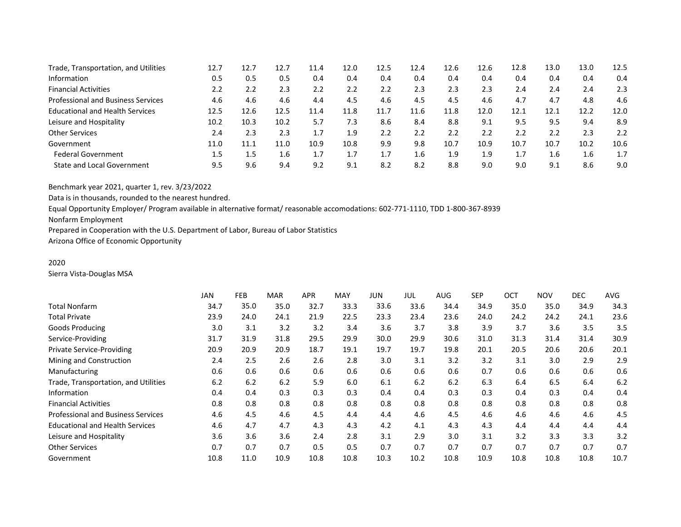| Trade, Transportation, and Utilities      | 12.7 | 12.7 | 12.7 | 11.4 | 12.0 | 12.5 | 12.4 | 12.6 | 12.6 | 12.8 | 13.0 | 13.0 | 12.5 |
|-------------------------------------------|------|------|------|------|------|------|------|------|------|------|------|------|------|
| Information                               | 0.5  | 0.5  | 0.5  | 0.4  | 0.4  | 0.4  | 0.4  | 0.4  | 0.4  | 0.4  | 0.4  | 0.4  | 0.4  |
| <b>Financial Activities</b>               | 2.2  | 2.2  | 2.3  | 2.2  | 2.2  | 2.2  | 2.3  | 2.3  | 2.3  | 2.4  | 2.4  | 2.4  | 2.3  |
| <b>Professional and Business Services</b> | 4.6  | 4.6  | 4.6  | 4.4  | 4.5  | 4.6  | 4.5  | 4.5  | 4.6  | 4.7  | 4.7  | 4.8  | 4.6  |
| <b>Educational and Health Services</b>    | 12.5 | 12.6 | 12.5 | 11.4 | 11.8 | 11.7 | 11.6 | 11.8 | 12.0 | 12.1 | 12.1 | 12.2 | 12.0 |
| Leisure and Hospitality                   | 10.2 | 10.3 | 10.2 | 5.7  | 7.3  | 8.6  | 8.4  | 8.8  | 9.1  | 9.5  | 9.5  | 9.4  | 8.9  |
| <b>Other Services</b>                     | 2.4  | 2.3  | 2.3  | 1.7  | 1.9  | 2.2  | 2.2  | 2.2  | 2.2  | 2.2  | 2.2  | 2.3  | 2.2  |
| Government                                | 11.0 | 11.1 | 11.0 | 10.9 | 10.8 | 9.9  | 9.8  | 10.7 | 10.9 | 10.7 | 10.7 | 10.2 | 10.6 |
| <b>Federal Government</b>                 | 1.5  | 1.5  | 1.6  | 1.7  | 1.7  | 1.7  | 1.6  | 1.9  | 1.9  |      | 1.6  | 1.6  | 1.7  |
| <b>State and Local Government</b>         | 9.5  | 9.6  | 9.4  | 9.2  | 9.1  | 8.2  | 8.2  | 8.8  | 9.0  | 9.0  | 9.1  | 8.6  | 9.0  |

Data is in thousands, rounded to the nearest hundred.

Equal Opportunity Employer/ Program available in alternative format/ reasonable accomodations: 602-771-1110, TDD 1-800-367-8939

Nonfarm Employment

Prepared in Cooperation with the U.S. Department of Labor, Bureau of Labor Statistics

Arizona Office of Economic Opportunity

# 2020

Sierra Vista-Douglas MSA

|                                           | JAN  | <b>FEB</b> | <b>MAR</b> | <b>APR</b> | MAY  | JUN  | JUL  | AUG  | <b>SEP</b> | <b>OCT</b> | <b>NOV</b> | <b>DEC</b> | AVG. |
|-------------------------------------------|------|------------|------------|------------|------|------|------|------|------------|------------|------------|------------|------|
| <b>Total Nonfarm</b>                      | 34.7 | 35.0       | 35.0       | 32.7       | 33.3 | 33.6 | 33.6 | 34.4 | 34.9       | 35.0       | 35.0       | 34.9       | 34.3 |
| <b>Total Private</b>                      | 23.9 | 24.0       | 24.1       | 21.9       | 22.5 | 23.3 | 23.4 | 23.6 | 24.0       | 24.2       | 24.2       | 24.1       | 23.6 |
| <b>Goods Producing</b>                    | 3.0  | 3.1        | 3.2        | 3.2        | 3.4  | 3.6  | 3.7  | 3.8  | 3.9        | 3.7        | 3.6        | 3.5        | 3.5  |
| Service-Providing                         | 31.7 | 31.9       | 31.8       | 29.5       | 29.9 | 30.0 | 29.9 | 30.6 | 31.0       | 31.3       | 31.4       | 31.4       | 30.9 |
| Private Service-Providing                 | 20.9 | 20.9       | 20.9       | 18.7       | 19.1 | 19.7 | 19.7 | 19.8 | 20.1       | 20.5       | 20.6       | 20.6       | 20.1 |
| Mining and Construction                   | 2.4  | 2.5        | 2.6        | 2.6        | 2.8  | 3.0  | 3.1  | 3.2  | 3.2        | 3.1        | 3.0        | 2.9        | 2.9  |
| Manufacturing                             | 0.6  | 0.6        | 0.6        | 0.6        | 0.6  | 0.6  | 0.6  | 0.6  | 0.7        | 0.6        | 0.6        | 0.6        | 0.6  |
| Trade, Transportation, and Utilities      | 6.2  | 6.2        | 6.2        | 5.9        | 6.0  | 6.1  | 6.2  | 6.2  | 6.3        | 6.4        | 6.5        | 6.4        | 6.2  |
| Information                               | 0.4  | 0.4        | 0.3        | 0.3        | 0.3  | 0.4  | 0.4  | 0.3  | 0.3        | 0.4        | 0.3        | 0.4        | 0.4  |
| <b>Financial Activities</b>               | 0.8  | 0.8        | 0.8        | 0.8        | 0.8  | 0.8  | 0.8  | 0.8  | 0.8        | 0.8        | 0.8        | 0.8        | 0.8  |
| <b>Professional and Business Services</b> | 4.6  | 4.5        | 4.6        | 4.5        | 4.4  | 4.4  | 4.6  | 4.5  | 4.6        | 4.6        | 4.6        | 4.6        | 4.5  |
| <b>Educational and Health Services</b>    | 4.6  | 4.7        | 4.7        | 4.3        | 4.3  | 4.2  | 4.1  | 4.3  | 4.3        | 4.4        | 4.4        | 4.4        | 4.4  |
| Leisure and Hospitality                   | 3.6  | 3.6        | 3.6        | 2.4        | 2.8  | 3.1  | 2.9  | 3.0  | 3.1        | 3.2        | 3.3        | 3.3        | 3.2  |
| <b>Other Services</b>                     | 0.7  | 0.7        | 0.7        | 0.5        | 0.5  | 0.7  | 0.7  | 0.7  | 0.7        | 0.7        | 0.7        | 0.7        | 0.7  |
| Government                                | 10.8 | 11.0       | 10.9       | 10.8       | 10.8 | 10.3 | 10.2 | 10.8 | 10.9       | 10.8       | 10.8       | 10.8       | 10.7 |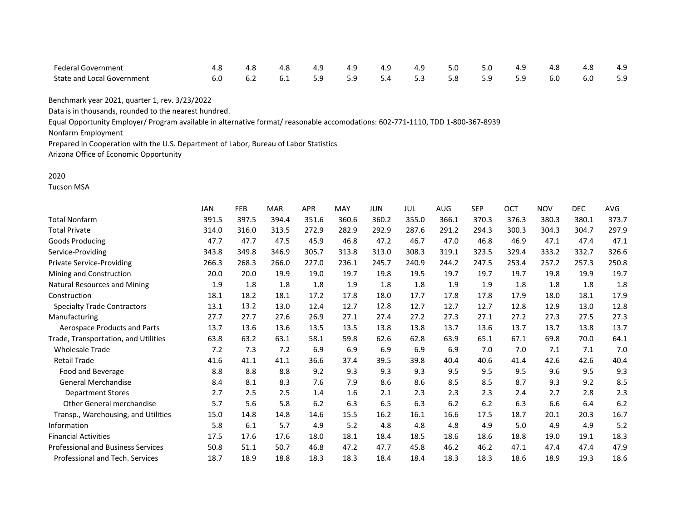| <b>Federal Government</b>         |  | 4.8 | 4.9                             | 4.9 | 4.9 | 4.9 | 5.0 | 5.0 | 4.9 |     | 4.8 | 4.9 |
|-----------------------------------|--|-----|---------------------------------|-----|-----|-----|-----|-----|-----|-----|-----|-----|
| <b>State and Local Government</b> |  |     | 6.1 5.9 5.9 5.4 5.3 5.8 5.9 5.9 |     |     |     |     |     |     | 6.0 | 6.0 | 5.9 |

Data is in thousands, rounded to the nearest hundred.

Equal Opportunity Employer/ Program available in alternative format/ reasonable accomodations: 602-771-1110, TDD 1-800-367-8939

Nonfarm Employment

Prepared in Cooperation with the U.S. Department of Labor, Bureau of Labor Statistics

Arizona Office of Economic Opportunity

#### 2020

Tucson MSA

|                                           | <b>JAN</b> | <b>FEB</b> | <b>MAR</b> | <b>APR</b> | <b>MAY</b> | <b>JUN</b> | JUL   | <b>AUG</b> | <b>SEP</b> | OCT   | <b>NOV</b> | <b>DEC</b> | <b>AVG</b> |
|-------------------------------------------|------------|------------|------------|------------|------------|------------|-------|------------|------------|-------|------------|------------|------------|
| <b>Total Nonfarm</b>                      | 391.5      | 397.5      | 394.4      | 351.6      | 360.6      | 360.2      | 355.0 | 366.1      | 370.3      | 376.3 | 380.3      | 380.1      | 373.7      |
| <b>Total Private</b>                      | 314.0      | 316.0      | 313.5      | 272.9      | 282.9      | 292.9      | 287.6 | 291.2      | 294.3      | 300.3 | 304.3      | 304.7      | 297.9      |
| <b>Goods Producing</b>                    | 47.7       | 47.7       | 47.5       | 45.9       | 46.8       | 47.2       | 46.7  | 47.0       | 46.8       | 46.9  | 47.1       | 47.4       | 47.1       |
| Service-Providing                         | 343.8      | 349.8      | 346.9      | 305.7      | 313.8      | 313.0      | 308.3 | 319.1      | 323.5      | 329.4 | 333.2      | 332.7      | 326.6      |
| <b>Private Service-Providing</b>          | 266.3      | 268.3      | 266.0      | 227.0      | 236.1      | 245.7      | 240.9 | 244.2      | 247.5      | 253.4 | 257.2      | 257.3      | 250.8      |
| Mining and Construction                   | 20.0       | 20.0       | 19.9       | 19.0       | 19.7       | 19.8       | 19.5  | 19.7       | 19.7       | 19.7  | 19.8       | 19.9       | 19.7       |
| Natural Resources and Mining              | 1.9        | 1.8        | 1.8        | 1.8        | 1.9        | 1.8        | 1.8   | 1.9        | 1.9        | 1.8   | 1.8        | 1.8        | 1.8        |
| Construction                              | 18.1       | 18.2       | 18.1       | 17.2       | 17.8       | 18.0       | 17.7  | 17.8       | 17.8       | 17.9  | 18.0       | 18.1       | 17.9       |
| <b>Specialty Trade Contractors</b>        | 13.1       | 13.2       | 13.0       | 12.4       | 12.7       | 12.8       | 12.7  | 12.7       | 12.7       | 12.8  | 12.9       | 13.0       | 12.8       |
| Manufacturing                             | 27.7       | 27.7       | 27.6       | 26.9       | 27.1       | 27.4       | 27.2  | 27.3       | 27.1       | 27.2  | 27.3       | 27.5       | 27.3       |
| Aerospace Products and Parts              | 13.7       | 13.6       | 13.6       | 13.5       | 13.5       | 13.8       | 13.8  | 13.7       | 13.6       | 13.7  | 13.7       | 13.8       | 13.7       |
| Trade, Transportation, and Utilities      | 63.8       | 63.2       | 63.1       | 58.1       | 59.8       | 62.6       | 62.8  | 63.9       | 65.1       | 67.1  | 69.8       | 70.0       | 64.1       |
| <b>Wholesale Trade</b>                    | 7.2        | 7.3        | 7.2        | 6.9        | 6.9        | 6.9        | 6.9   | 6.9        | 7.0        | 7.0   | 7.1        | 7.1        | 7.0        |
| <b>Retail Trade</b>                       | 41.6       | 41.1       | 41.1       | 36.6       | 37.4       | 39.5       | 39.8  | 40.4       | 40.6       | 41.4  | 42.6       | 42.6       | 40.4       |
| Food and Beverage                         | 8.8        | 8.8        | 8.8        | 9.2        | 9.3        | 9.3        | 9.3   | 9.5        | 9.5        | 9.5   | 9.6        | 9.5        | 9.3        |
| General Merchandise                       | 8.4        | 8.1        | 8.3        | 7.6        | 7.9        | 8.6        | 8.6   | 8.5        | 8.5        | 8.7   | 9.3        | 9.2        | 8.5        |
| <b>Department Stores</b>                  | 2.7        | 2.5        | 2.5        | 1.4        | 1.6        | 2.1        | 2.3   | 2.3        | 2.3        | 2.4   | 2.7        | 2.8        | 2.3        |
| <b>Other General merchandise</b>          | 5.7        | 5.6        | 5.8        | 6.2        | 6.3        | 6.5        | 6.3   | 6.2        | 6.2        | 6.3   | 6.6        | 6.4        | 6.2        |
| Transp., Warehousing, and Utilities       | 15.0       | 14.8       | 14.8       | 14.6       | 15.5       | 16.2       | 16.1  | 16.6       | 17.5       | 18.7  | 20.1       | 20.3       | 16.7       |
| Information                               | 5.8        | 6.1        | 5.7        | 4.9        | 5.2        | 4.8        | 4.8   | 4.8        | 4.9        | 5.0   | 4.9        | 4.9        | 5.2        |
| <b>Financial Activities</b>               | 17.5       | 17.6       | 17.6       | 18.0       | 18.1       | 18.4       | 18.5  | 18.6       | 18.6       | 18.8  | 19.0       | 19.1       | 18.3       |
| <b>Professional and Business Services</b> | 50.8       | 51.1       | 50.7       | 46.8       | 47.2       | 47.7       | 45.8  | 46.2       | 46.2       | 47.1  | 47.4       | 47.4       | 47.9       |
| Professional and Tech. Services           | 18.7       | 18.9       | 18.8       | 18.3       | 18.3       | 18.4       | 18.4  | 18.3       | 18.3       | 18.6  | 18.9       | 19.3       | 18.6       |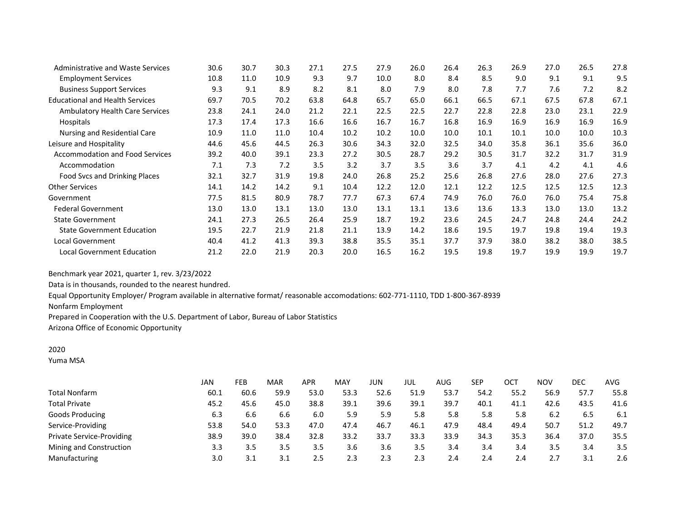| <b>Administrative and Waste Services</b> | 30.6 | 30.7 | 30.3 | 27.1 | 27.5 | 27.9 | 26.0 | 26.4 | 26.3 | 26.9 | 27.0 | 26.5 | 27.8 |
|------------------------------------------|------|------|------|------|------|------|------|------|------|------|------|------|------|
| <b>Employment Services</b>               | 10.8 | 11.0 | 10.9 | 9.3  | 9.7  | 10.0 | 8.0  | 8.4  | 8.5  | 9.0  | 9.1  | 9.1  | 9.5  |
| <b>Business Support Services</b>         | 9.3  | 9.1  | 8.9  | 8.2  | 8.1  | 8.0  | 7.9  | 8.0  | 7.8  | 7.7  | 7.6  | 7.2  | 8.2  |
| <b>Educational and Health Services</b>   | 69.7 | 70.5 | 70.2 | 63.8 | 64.8 | 65.7 | 65.0 | 66.1 | 66.5 | 67.1 | 67.5 | 67.8 | 67.1 |
| Ambulatory Health Care Services          | 23.8 | 24.1 | 24.0 | 21.2 | 22.1 | 22.5 | 22.5 | 22.7 | 22.8 | 22.8 | 23.0 | 23.1 | 22.9 |
| Hospitals                                | 17.3 | 17.4 | 17.3 | 16.6 | 16.6 | 16.7 | 16.7 | 16.8 | 16.9 | 16.9 | 16.9 | 16.9 | 16.9 |
| Nursing and Residential Care             | 10.9 | 11.0 | 11.0 | 10.4 | 10.2 | 10.2 | 10.0 | 10.0 | 10.1 | 10.1 | 10.0 | 10.0 | 10.3 |
| Leisure and Hospitality                  | 44.6 | 45.6 | 44.5 | 26.3 | 30.6 | 34.3 | 32.0 | 32.5 | 34.0 | 35.8 | 36.1 | 35.6 | 36.0 |
| <b>Accommodation and Food Services</b>   | 39.2 | 40.0 | 39.1 | 23.3 | 27.2 | 30.5 | 28.7 | 29.2 | 30.5 | 31.7 | 32.2 | 31.7 | 31.9 |
| Accommodation                            | 7.1  | 7.3  | 7.2  | 3.5  | 3.2  | 3.7  | 3.5  | 3.6  | 3.7  | 4.1  | 4.2  | 4.1  | 4.6  |
| Food Svcs and Drinking Places            | 32.1 | 32.7 | 31.9 | 19.8 | 24.0 | 26.8 | 25.2 | 25.6 | 26.8 | 27.6 | 28.0 | 27.6 | 27.3 |
| <b>Other Services</b>                    | 14.1 | 14.2 | 14.2 | 9.1  | 10.4 | 12.2 | 12.0 | 12.1 | 12.2 | 12.5 | 12.5 | 12.5 | 12.3 |
| Government                               | 77.5 | 81.5 | 80.9 | 78.7 | 77.7 | 67.3 | 67.4 | 74.9 | 76.0 | 76.0 | 76.0 | 75.4 | 75.8 |
| <b>Federal Government</b>                | 13.0 | 13.0 | 13.1 | 13.0 | 13.0 | 13.1 | 13.1 | 13.6 | 13.6 | 13.3 | 13.0 | 13.0 | 13.2 |
| <b>State Government</b>                  | 24.1 | 27.3 | 26.5 | 26.4 | 25.9 | 18.7 | 19.2 | 23.6 | 24.5 | 24.7 | 24.8 | 24.4 | 24.2 |
| <b>State Government Education</b>        | 19.5 | 22.7 | 21.9 | 21.8 | 21.1 | 13.9 | 14.2 | 18.6 | 19.5 | 19.7 | 19.8 | 19.4 | 19.3 |
| <b>Local Government</b>                  | 40.4 | 41.2 | 41.3 | 39.3 | 38.8 | 35.5 | 35.1 | 37.7 | 37.9 | 38.0 | 38.2 | 38.0 | 38.5 |
| <b>Local Government Education</b>        | 21.2 | 22.0 | 21.9 | 20.3 | 20.0 | 16.5 | 16.2 | 19.5 | 19.8 | 19.7 | 19.9 | 19.9 | 19.7 |

Data is in thousands, rounded to the nearest hundred.

Equal Opportunity Employer/ Program available in alternative format/ reasonable accomodations: 602-771-1110, TDD 1-800-367-8939

Nonfarm Employment

Prepared in Cooperation with the U.S. Department of Labor, Bureau of Labor Statistics

Arizona Office of Economic Opportunity

## 2020

Yuma MSA

|                                  | JAN  | <b>FEB</b> | MAR  | <b>APR</b>    | <b>MAY</b> | JUN  | JUL  | AUG  | SEP  | ост  | <b>NOV</b> | DEC  | AVG  |
|----------------------------------|------|------------|------|---------------|------------|------|------|------|------|------|------------|------|------|
| <b>Total Nonfarm</b>             | 60.1 | 60.6       | 59.9 | 53.0          | 53.3       | 52.6 | 51.9 | 53.7 | 54.2 | 55.2 | 56.9       | 57.7 | 55.8 |
| <b>Total Private</b>             | 45.2 | 45.6       | 45.0 | 38.8          | 39.1       | 39.6 | 39.1 | 39.7 | 40.1 | 41.1 | 42.6       | 43.5 | 41.6 |
| Goods Producing                  | 6.3  | 6.6        | 6.6  | 6.0           | 5.9        | 5.9  | 5.8  | 5.8  | 5.8  | 5.8  | 6.2        | 6.5  | 6.1  |
| Service-Providing                | 53.8 | 54.0       | 53.3 | 47.0          | 47.4       | 46.7 | 46.1 | 47.9 | 48.4 | 49.4 | 50.7       | 51.2 | 49.7 |
| <b>Private Service-Providing</b> | 38.9 | 39.0       | 38.4 | 32.8          | 33.2       | 33.7 | 33.3 | 33.9 | 34.3 | 35.3 | 36.4       | 37.0 | 35.5 |
| Mining and Construction          | 3.3  | 3.5        | 3.5  | 3.5           | 3.6        | 3.6  | 3.5  | 3.4  | 3.4  | 3.4  | 3.5        | 3.4  | 3.5  |
| Manufacturing                    | 3.0  | 3.1        | 3.1  | $2.5^{\circ}$ | 2.3        | 2.3  | 2.3  | 2.4  | 2.4  | 2.4  |            | 3.1  | 2.6  |